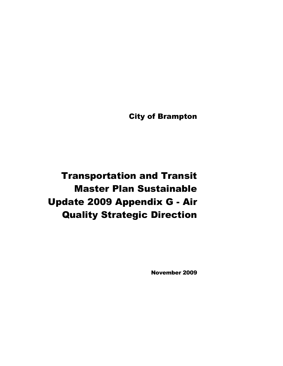City of Brampton

Transportation and Transit Master Plan Sustainable Update 2009 Appendix G - Air Quality Strategic Direction

November 2009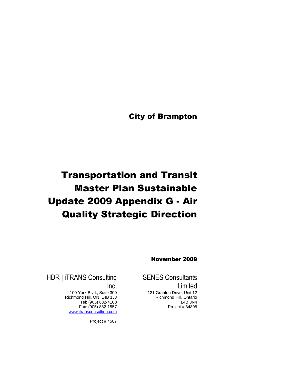City of Brampton

# Transportation and Transit Master Plan Sustainable Update 2009 Appendix G - Air Quality Strategic Direction

November 2009

SENES Consultants Limited

121 Granton Drive, Unit 12 Richmond Hill, Ontario L4B 3N4 Project # 34808

HDR | iTRANS Consulting Inc.

> 100 York Blvd., Suite 300 Richmond Hill, ON L4B 1J8 Tel: (905) 882-4100 Fax: (905) 882-1557 www.itransconsulting.com

> > Project # 4587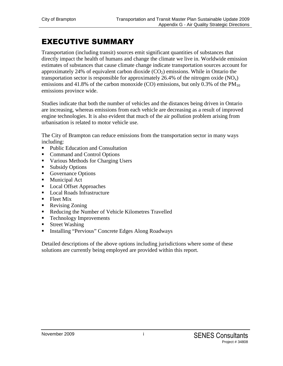# EXECUTIVE SUMMARY

Transportation (including transit) sources emit significant quantities of substances that directly impact the health of humans and change the climate we live in. Worldwide emission estimates of substances that cause climate change indicate transportation sources account for approximately 24% of equivalent carbon dioxide  $(CO<sub>2</sub>)$  emissions. While in Ontario the transportation sector is responsible for approximately 26.4% of the nitrogen oxide  $(NO_x)$ emissions and 41.8% of the carbon monoxide (CO) emissions, but only  $0.3\%$  of the PM<sub>10</sub> emissions province wide.

Studies indicate that both the number of vehicles and the distances being driven in Ontario are increasing, whereas emissions from each vehicle are decreasing as a result of improved engine technologies. It is also evident that much of the air pollution problem arising from urbanisation is related to motor vehicle use.

The City of Brampton can reduce emissions from the transportation sector in many ways including:

- Public Education and Consultation
- Command and Control Options
- Various Methods for Charging Users
- Subsidy Options
- Governance Options
- **Municipal Act**
- Local Offset Approaches
- Local Roads Infrastructure
- $\blacksquare$  Fleet Mix
- Revising Zoning
- Reducing the Number of Vehicle Kilometres Travelled
- Technology Improvements
- **Street Washing**
- **Installing "Pervious" Concrete Edges Along Roadways**

Detailed descriptions of the above options including jurisdictions where some of these solutions are currently being employed are provided within this report.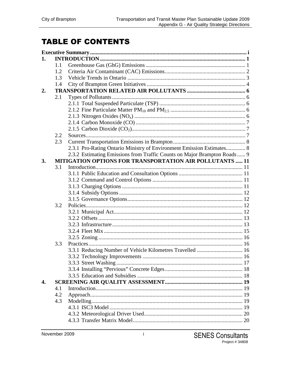# **TABLE OF CONTENTS**

| 1. |     |                                                                          |  |
|----|-----|--------------------------------------------------------------------------|--|
|    | 1.1 |                                                                          |  |
|    | 1.2 |                                                                          |  |
|    | 1.3 |                                                                          |  |
|    | 1.4 |                                                                          |  |
| 2. |     |                                                                          |  |
|    | 2.1 |                                                                          |  |
|    |     |                                                                          |  |
|    |     |                                                                          |  |
|    |     |                                                                          |  |
|    |     |                                                                          |  |
|    |     |                                                                          |  |
|    | 2.2 |                                                                          |  |
|    | 2.3 |                                                                          |  |
|    |     | 2.3.1 Pro-Rating Ontario Ministry of Environment Emission Estimates 8    |  |
|    |     | 2.3.2 Estimating Emissions from Traffic Counts on Major Brampton Roads 9 |  |
| 3. |     | <b>MITIGATION OPTIONS FOR TRANSPORTATION AIR POLLUTANTS  11</b>          |  |
|    | 3.1 |                                                                          |  |
|    |     |                                                                          |  |
|    |     |                                                                          |  |
|    |     |                                                                          |  |
|    |     |                                                                          |  |
|    |     |                                                                          |  |
|    | 3.2 |                                                                          |  |
|    |     |                                                                          |  |
|    |     |                                                                          |  |
|    |     |                                                                          |  |
|    |     |                                                                          |  |
|    |     |                                                                          |  |
|    | 3.3 |                                                                          |  |
|    |     |                                                                          |  |
|    |     |                                                                          |  |
|    |     |                                                                          |  |
|    |     |                                                                          |  |
|    |     |                                                                          |  |
| 4. |     |                                                                          |  |
|    | 4.1 |                                                                          |  |
|    | 4.2 |                                                                          |  |
|    | 4.3 |                                                                          |  |
|    |     |                                                                          |  |
|    |     |                                                                          |  |
|    |     |                                                                          |  |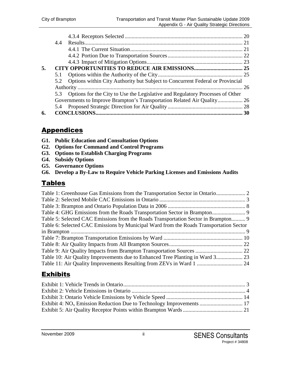| 4.4 |                                                                                                                                                                                                                                                   |
|-----|---------------------------------------------------------------------------------------------------------------------------------------------------------------------------------------------------------------------------------------------------|
|     |                                                                                                                                                                                                                                                   |
|     |                                                                                                                                                                                                                                                   |
|     |                                                                                                                                                                                                                                                   |
|     |                                                                                                                                                                                                                                                   |
|     |                                                                                                                                                                                                                                                   |
|     |                                                                                                                                                                                                                                                   |
|     |                                                                                                                                                                                                                                                   |
|     |                                                                                                                                                                                                                                                   |
|     |                                                                                                                                                                                                                                                   |
|     |                                                                                                                                                                                                                                                   |
|     |                                                                                                                                                                                                                                                   |
|     | 5.2 Options within City Authority but Subject to Concurrent Federal or Provincial<br>5.3 Options for the City to Use the Legislative and Regulatory Processes of Other<br>Governments to Improve Brampton's Transportation Related Air Quality 26 |

## **Appendices**

- **G1. Public Education and Consultation Options**
- **G2. Options for Command and Control Programs**
- **G3. Options to Establish Charging Programs**
- **G4. Subsidy Options**
- **G5. Governance Options**
- **G6. Develop a By-Law to Require Vehicle Parking Licenses and Emissions Audits**

## **Tables**

| Table 5: Selected CAC Emissions from the Roads Transportation Sector in Brampton 9     |  |
|----------------------------------------------------------------------------------------|--|
| Table 6: Selected CAC Emissions by Municipal Ward from the Roads Transportation Sector |  |
|                                                                                        |  |
|                                                                                        |  |
|                                                                                        |  |
|                                                                                        |  |
|                                                                                        |  |
|                                                                                        |  |

## Exhibits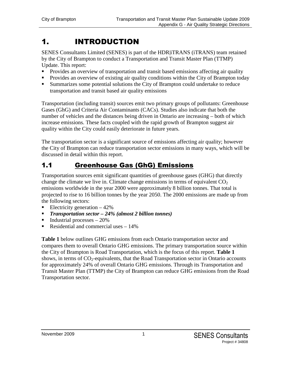# 1. INTRODUCTION

SENES Consultants Limited (SENES) is part of the HDR|iTRANS (iTRANS) team retained by the City of Brampton to conduct a Transportation and Transit Master Plan (TTMP) Update. This report:

- Provides an overview of transportation and transit based emissions affecting air quality
- **Provides an overview of existing air quality conditions within the City of Brampton today**
- Summarizes some potential solutions the City of Brampton could undertake to reduce transportation and transit based air quality emissions

Transportation (including transit) sources emit two primary groups of pollutants: Greenhouse Gases (GhG) and Criteria Air Contaminants (CACs). Studies also indicate that both the number of vehicles and the distances being driven in Ontario are increasing – both of which increase emissions. These facts coupled with the rapid growth of Brampton suggest air quality within the City could easily deteriorate in future years.

The transportation sector is a significant source of emissions affecting air quality; however the City of Brampton can reduce transportation sector emissions in many ways, which will be discussed in detail within this report.

# 1.1 Greenhouse Gas (GhG) Emissions

Transportation sources emit significant quantities of greenhouse gases (GHG) that directly change the climate we live in. Climate change emissions in terms of equivalent  $CO<sub>2</sub>$ emissions worldwide in the year 2000 were approximately 8 billion tonnes. That total is projected to rise to 16 billion tonnes by the year 2050. The 2000 emissions are made up from the following sectors:

- Electricity generation  $-42\%$
- *Transportation sector – 24% (almost 2 billion tonnes)*
- $\blacksquare$  Industrial processes 20%
- Residential and commercial uses  $-14\%$

**Table 1** below outlines GHG emissions from each Ontario transportation sector and compares them to overall Ontario GHG emissions. The primary transportation source within the City of Brampton is Road Transportation, which is the focus of this report. **Table 1** shows, in terms of  $CO_2$ -equivalents, that the Road Transportation sector in Ontario accounts for approximately 24% of overall Ontario GHG emissions. Through its Transportation and Transit Master Plan (TTMP) the City of Brampton can reduce GHG emissions from the Road Transportation sector.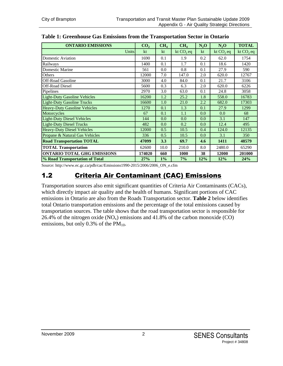| <b>ONTARIO EMISSIONS</b>            | CO <sub>2</sub> | CH <sub>4</sub> | CH <sub>4</sub> | $N_2O$ | $N_2$ O     | <b>TOTAL</b> |
|-------------------------------------|-----------------|-----------------|-----------------|--------|-------------|--------------|
| <b>Units</b>                        | kt              | kt              | kt $CO2$ eq     | kt     | kt $CO2$ eq | kt $CO2$ eq  |
| Domestic Aviation                   | 1690            | 0.1             | 1.9             | 0.2    | 62.0        | 1754         |
| Railways                            | 1400            | 0.1             | 1.7             | 0.1    | 18.6        | 1420         |
| <b>Domestic Marine</b>              | 561             | 0.0             | 0.8             | 0.1    | 27.9        | 590          |
| Others                              | 12000           | 7.0             | 147.0           | 2.0    | 620.0       | 12767        |
| <b>Off-Road Gasoline</b>            | 3000            | 4.0             | 84.0            | 0.1    | 21.7        | 3106         |
| <b>Off-Road Diesel</b>              | 5600            | 0.3             | 6.3             | 2.0    | 620.0       | 6226         |
| Pipelines                           | 2970            | 3.0             | 63.0            | 0.1    | 24.8        | 3058         |
| <b>Light-Duty Gasoline Vehicles</b> | 16200           | 1.2             | 25.2            | 1.8    | 558.0       | 16783        |
| <b>Light-Duty Gasoline Trucks</b>   | 16600           | 1.0             | 21.0            | 2.2    | 682.0       | 17303        |
| <b>Heavy-Duty Gasoline Vehicles</b> | 1270            | 0.1             | 1.3             | 0.1    | 27.9        | 1299         |
| Motorcycles                         | 67              | 0.1             | 1.1             | 0.0    | 0.0         | 68           |
| <b>Light-Duty Diesel Vehicles</b>   | 144             | 0.0             | 0.0             | 0.0    | 3.1         | 147          |
| <b>Light-Duty Diesel Trucks</b>     | 482             | 0.0             | 0.2             | 0.0    | 12.4        | 495          |
| <b>Heavy-Duty Diesel Vehicles</b>   | 12000           | 0.5             | 10.5            | 0.4    | 124.0       | 12135        |
| Propane & Natural Gas Vehicles      | 336             | 0.5             | 10.5            | 0.0    | 3.1         | 350          |
| <b>Road Transportation TOTAL</b>    | 47099           | 3.3             | 69.7            | 4.6    | 1411        | 48579        |
| <b>TOTAL Transportation</b>         | 62600           | 10.0            | 210.0           | 8.0    | 2480.0      | 65290        |
| <b>ONTARIO TOTAL GHG EMISSIONS</b>  | 174020          | 660             | 1000            | 38     | 12000       | 201000       |
| % Road Transportation of Total      | 27%             | $1\%$           | 7%              | 12%    | 12%         | 24%          |

#### **Table 1: Greenhouse Gas Emissions from the Transportation Sector in Ontario**

Source: http://www.ec.gc.ca/pdb/cac/Emissions1990-2015/2006/2006\_ON\_e.cfm

## 1.2 Criteria Air Contaminant (CAC) Emissions

Transportation sources also emit significant quantities of Criteria Air Contaminants (CACs), which directly impact air quality and the health of humans. Significant portions of CAC emissions in Ontario are also from the Roads Transportation sector. **Table 2** below identifies total Ontario transportation emissions and the percentage of the total emissions caused by transportation sources. The table shows that the road transportation sector is responsible for 26.4% of the nitrogen oxide  $(NO_x)$  emissions and 41.8% of the carbon monoxide  $(CO)$ emissions, but only  $0.3\%$  of the PM<sub>10</sub>.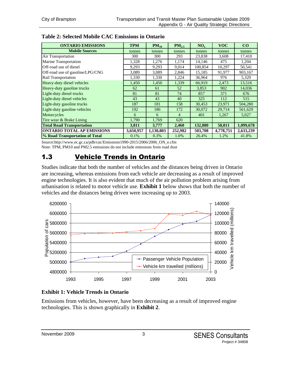| <b>ONTARIO EMISSIONS</b>          | <b>TPM</b> | $PM_{10}$ | $PM_{25}$      | $NO_x$  | <b>VOC</b> | $\bf CO$  |
|-----------------------------------|------------|-----------|----------------|---------|------------|-----------|
| <b>Mobile Sources</b>             | tonnes     | tonnes    | tonnes         | tonnes  | tonnes     | tonnes    |
| Air Transportation                | 300        | 300       | 293            | 23,838  | 3,608      | 17,410    |
| <b>Marine Transportation</b>      | 1,328      | 1,276     | 1,174          | 14,146  | 475        | 1,204     |
| Off-road use of diesel            | 9,293      | 9,293     | 9,014          | 100,854 | 10,297     | 50,541    |
| Off-road use of gasoline/LPG/CNG  | 3,089      | 3,089     | 2,846          | 15,185  | 91,977     | 903,167   |
| <b>Rail Transportation</b>        | 1,330      | 1,330     | 1,224          | 36,964  | 976        | 5,329     |
| Heavy-duty diesel vehicles        | 1,450      | 1,450     | 1,339          | 66,919  | 2,473      | 13,516    |
| Heavy-duty gasoline trucks        | 62         | 61        | 52             | 3,853   | 902        | 14,036    |
| Light-duty diesel trucks          | 81         | 81        | 74             | 857     | 371        | 676       |
| Light-duty diesel vehicles        | 43         | 43        | 40             | 325     | 112        | 515       |
| Light-duty gasoline trucks        | 187        | 181       | 158            | 30,453  | 23,971     | 504,280   |
| Light-duty gasoline vehicles      | 192        | 186       | 172            | 30,072  | 29,714     | 561,629   |
| Motorcycles                       | 6          | 6         | $\overline{4}$ | 401     | 1,267      | 5,027     |
| Tire wear & Brake Lining          | 1,790      | 1,769     | 620            |         |            |           |
| <b>Total Road Transportation</b>  | 3,811      | 3,777     | 2,460          | 132,880 | 58,811     | 1,099,678 |
| <b>ONTARIO TOTAL AP EMISSIONS</b> | 3,650,957  | 1,130,803 | 252,982        | 503,708 | 4,778,751  | 2,633,239 |
| % Road Transportation of Total    | 0.1%       | 0.3%      | 1.0%           | 26.4%   | 1.2%       | 41.8%     |

#### **Table 2: Selected Mobile CAC Emissions in Ontario**

Source:http://www.ec.gc.ca/pdb/cac/Emissions1990-2015/2006/2006\_ON\_e.cfm Note: TPM, PM10 and PM2.5 emissions do not include emissions from road dust

## 1.3 Vehicle Trends in Ontario

Studies indicate that both the number of vehicles and the distances being driven in Ontario are increasing, whereas emissions from each vehicle are decreasing as a result of improved engine technologies. It is also evident that much of the air pollution problem arising from urbanisation is related to motor vehicle use. **Exhibit 1** below shows that both the number of vehicles and the distances being driven were increasing up to 2003.



#### **Exhibit 1: Vehicle Trends in Ontario**

Emissions from vehicles, however, have been decreasing as a result of improved engine technologies. This is shown graphically in **Exhibit 2**.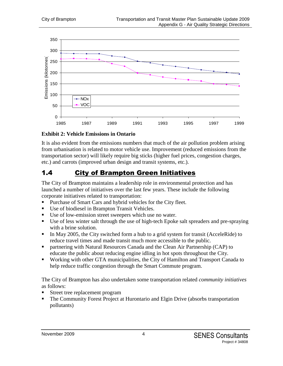

#### **Exhibit 2: Vehicle Emissions in Ontario**

It is also evident from the emissions numbers that much of the air pollution problem arising from urbanisation is related to motor vehicle use. Improvement (reduced emissions from the transportation sector) will likely require big sticks (higher fuel prices, congestion charges, etc.) and carrots (improved urban design and transit systems, etc.).

## 1.4 City of Brampton Green Initiatives

The City of Brampton maintains a leadership role in environmental protection and has launched a number of initiatives over the last few years. These include the following corporate initiatives related to transportation:

- Purchase of Smart Cars and hybrid vehicles for the City fleet.
- Use of biodiesel in Brampton Transit Vehicles.
- Use of low-emission street sweepers which use no water.
- Use of less winter salt through the use of high-tech Epoke salt spreaders and pre-spraying with a brine solution.
- In May 2005, the City switched form a hub to a grid system for transit (AcceleRide) to reduce travel times and made transit much more accessible to the public.
- **•** partnering with Natural Resources Canada and the Clean Air Partnership (CAP) to educate the public about reducing engine idling in hot spots throughout the City.
- Working with other GTA municipalities, the City of Hamilton and Transport Canada to help reduce traffic congestion through the Smart Commute program.

The City of Brampton has also undertaken some transportation related *community initiatives* as follows:

- Street tree replacement program
- The Community Forest Project at Hurontario and Elgin Drive (absorbs transportation pollutants)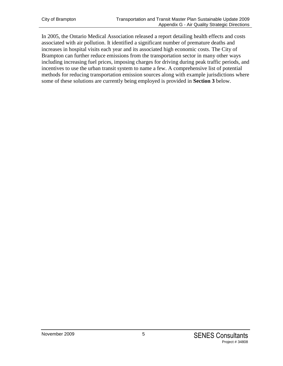In 2005, the Ontario Medical Association released a report detailing health effects and costs associated with air pollution. It identified a significant number of premature deaths and increases in hospital visits each year and its associated high economic costs. The City of Brampton can further reduce emissions from the transportation sector in many other ways including increasing fuel prices, imposing charges for driving during peak traffic periods, and incentives to use the urban transit system to name a few. A comprehensive list of potential methods for reducing transportation emission sources along with example jurisdictions where some of these solutions are currently being employed is provided in **Section 3** below.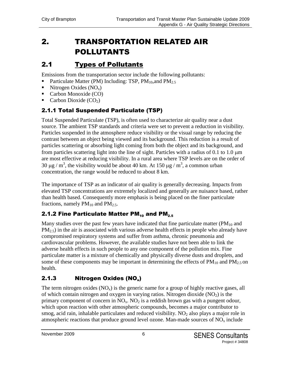# 2. TRANSPORTATION RELATED AIR POLLUTANTS

# 2.1 Types of Pollutants

Emissions from the transportation sector include the following pollutants:

- Particulate Matter (PM) Including: TSP,  $PM_{10}$ , and  $PM_{2.5}$
- $\blacksquare$  Nitrogen Oxides (NO<sub>x</sub>)
- Carbon Monoxide (CO)
- Carbon Dioxide  $(CO_2)$

## 2.1.1 Total Suspended Particulate (TSP)

Total Suspended Particulate (TSP), is often used to characterize air quality near a dust source. The ambient TSP standards and criteria were set to prevent a reduction in visibility. Particles suspended in the atmosphere reduce visibility or the visual range by reducing the contrast between an object being viewed and its background. This reduction is a result of particles scattering or absorbing light coming from both the object and its background, and from particles scattering light into the line of sight. Particles with a radius of  $0.1$  to  $1.0 \mu m$ are most effective at reducing visibility. In a rural area where TSP levels are on the order of 30  $\mu$ g / m<sup>3</sup>, the visibility would be about 40 km. At 150  $\mu$ g / m<sup>3</sup>, a common urban concentration, the range would be reduced to about 8 km.

The importance of TSP as an indicator of air quality is generally decreasing. Impacts from elevated TSP concentrations are extremely localized and generally are nuisance based, rather than health based. Consequently more emphasis is being placed on the finer particulate fractions, namely  $PM_{10}$  and  $PM_{2.5}$ .

## 2.1.2 Fine Particulate Matter PM $_{10}$  and PM $_{2.5}$

Many studies over the past few years have indicated that fine particulate matter ( $PM_{10}$  and  $PM_{2.5}$ ) in the air is associated with various adverse health effects in people who already have compromised respiratory systems and suffer from asthma, chronic pneumonia and cardiovascular problems. However, the available studies have not been able to link the adverse health effects in such people to any one component of the pollution mix. Fine particulate matter is a mixture of chemically and physically diverse dusts and droplets, and some of these components may be important in determining the effects of  $PM_{10}$  and  $PM_{2.5}$  on health.

## 2.1.3 Nitrogen Oxides (NO<sup>x</sup> )

The term nitrogen oxides  $(NO_x)$  is the generic name for a group of highly reactive gases, all of which contain nitrogen and oxygen in varying ratios. Nitrogen dioxide  $(NO<sub>2</sub>)$  is the primary component of concern in  $NO<sub>x</sub>$ .  $NO<sub>2</sub>$  is a reddish brown gas with a pungent odour, which upon reaction with other atmospheric compounds, becomes a major contributor to smog, acid rain, inhalable particulates and reduced visibility.  $NO<sub>2</sub>$  also plays a major role in atmospheric reactions that produce ground level ozone. Man-made sources of  $NO<sub>x</sub>$  include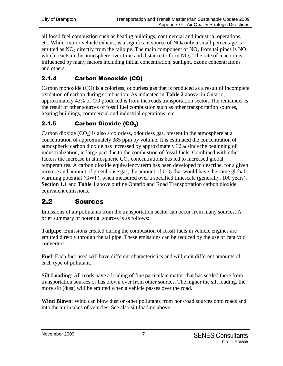all fossil fuel combustion such as heating buildings, commercial and industrial operations, etc. While, motor vehicle exhaust is a significant source of  $NO<sub>x</sub>$  only a small percentage is emitted as  $NO<sub>2</sub>$  directly from the tailpipe. The main component of  $NO<sub>x</sub>$  from tailpipes is NO which reacts in the atmosphere over time and distance to form  $NO<sub>2</sub>$ . The rate of reaction is influenced by many factors including initial concentration, sunlight, ozone concentrations and others.

## 2.1.4 Carbon Monoxide (CO)

Carbon monoxide (CO) is a colorless, odourless gas that is produced as a result of incomplete oxidation of carbon during combustion. As indicated in **Table 2** above, in Ontario, approximately 42% of CO produced is from the roads transportation sector. The remainder is the result of other sources of fossil fuel combustion such as other transportation sources, heating buildings, commercial and industrial operations, etc.

## 2.1.5 Carbon Dioxide (CO $_2$ )

Carbon dioxide  $(CO<sub>2</sub>)$  is also a colorless, odourless gas, present in the atmosphere at a concentration of approximately 385 ppm by volume. It is estimated the concentration of atmospheric carbon dioxide has increased by approximately 32% since the beginning of industrialization, in large part due to the combustion of fossil fuels. Combined with other factors the increase in atmospheric  $CO<sub>2</sub>$  concentrations has led to increased global temperatures. A carbon dioxide equivalency term has been developed to describe, for a given mixture and amount of greenhouse gas, the amount of  $CO<sub>2</sub>$  that would have the same global warming potential (GWP), when measured over a specified timescale (generally, 100 years). **Section 1.1** and **Table 1** above outline Ontario and Road Transportation carbon dioxide equivalent emissions.

## 2.2 Sources

Emissions of air pollutants from the transportation sector can occur from many sources. A brief summary of potential sources is as follows:

**Tailpipe**: Emissions created during the combustion of fossil fuels in vehicle engines are emitted directly through the tailpipe. These emissions can be reduced by the use of catalytic converters.

**Fuel**: Each fuel used will have different characteristics and will emit different amounts of each type of pollutant.

**Silt Loading**: All roads have a loading of fine particulate matter that has settled there from transportation sources or has blown over from other sources. The higher the silt loading, the more silt (dust) will be emitted when a vehicle passes over the road.

**Wind Blown**: Wind can blow dust or other pollutants from non-road sources onto roads and into the air intakes of vehicles. See also silt loading above.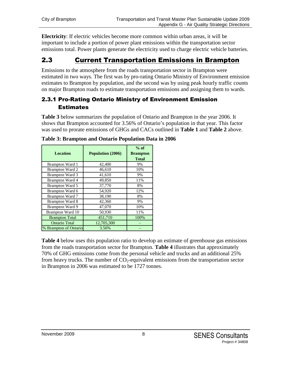**Electricity**: If electric vehicles become more common within urban areas, it will be important to include a portion of power plant emissions within the transportation sector emissions total. Power plants generate the electricity used to charge electric vehicle batteries.

## 2.3 Current Transportation Emissions in Brampton

Emissions to the atmosphere from the roads transportation sector in Brampton were estimated in two ways. The first was by pro-rating Ontario Ministry of Environment emission estimates to Brampton by population, and the second was by using peak hourly traffic counts on major Brampton roads to estimate transportation emissions and assigning them to wards.

### 2.3.1 Pro-Rating Ontario Ministry of Environment Emission **Estimates**

**Table 3** below summarizes the population of Ontario and Brampton in the year 2006. It shows that Brampton accounted for 3.56% of Ontario's population in that year. This factor was used to prorate emissions of GHGs and CACs outlined in **Table 1** and **Table 2** above.

| <b>Location</b>        | Population (2006) | $%$ of<br><b>Brampton</b><br><b>Total</b> |
|------------------------|-------------------|-------------------------------------------|
| <b>Brampton Ward 1</b> | 42,400            | 9%                                        |
| <b>Brampton Ward 2</b> | 46,610            | 10%                                       |
| <b>Brampton Ward 3</b> | 41,610            | 9%                                        |
| <b>Brampton Ward 4</b> | 49,850            | 11%                                       |
| Brampton Ward 5        | 37,770            | 8%                                        |
| Brampton Ward 6        | 54.920            | 12%                                       |
| Brampton Ward 7        | 38,190            | 8%                                        |
| <b>Brampton Ward 8</b> | 42,360            | 9%                                        |
| <b>Brampton Ward 9</b> | 47,070            | 10%                                       |
| Brampton Ward 10       | 50,930            | 11%                                       |
| <b>Brampton Total</b>  | 451,710           | 100%                                      |
| <b>Ontario Total</b>   | 12,705,300        |                                           |
| % Brampton of Ontario  | 3.56%             |                                           |

**Table 3: Brampton and Ontario Population Data in 2006**

**Table 4** below uses this population ratio to develop an estimate of greenhouse gas emissions from the roads transportation sector for Brampton. **Table 4** illustrates that approximately 70% of GHG emissions come from the personal vehicle and trucks and an additional 25% from heavy trucks. The number of  $CO<sub>2</sub>$ -equivalent emissions from the transportation sector in Brampton in 2006 was estimated to be 1727 tonnes.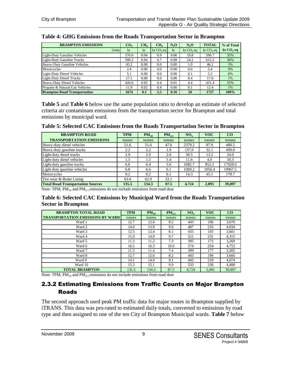| <b>BRAMPTON EMISSIONS</b>           | CO <sub>2</sub> | CH <sub>4</sub> | CH <sub>4</sub> | $N_2O$ | N <sub>2</sub> O | <b>TOTAL</b>  | % of Total  |
|-------------------------------------|-----------------|-----------------|-----------------|--------|------------------|---------------|-------------|
| Units                               | kt              | kt              | kt $CO$ , eq    | kt     | kt $CO$ , eq     | kt $CO$ , eq. | kt $CO2$ eq |
| Light-Duty Gasoline Vehicles        | 576.0           | 0.04            | 0.9             | 0.06   | 19.8             | 596.7         | 35%         |
| <b>Light-Duty Gasoline Trucks</b>   | 590.2           | 0.04            | 0.7             | 0.08   | 24.2             | 615.2         | 36%         |
| Heavy-Duty Gasoline Vehicles        | 45.2            | 0.00            | 0.0             | 0.00   | 1.0              | 46.2          | 3%          |
| Motorcycles                         | 2.4             | 0.00            | 0.0             | 0.00   | 0.0              | 2.4           | 0%          |
| Light-Duty Diesel Vehicles          | 5.1             | 0.00            | 0.0             | 0.00   | 0.1              | 5.2           | 0%          |
| Light-Duty Diesel Trucks            | 17.1            | 0.00            | 0.0             | 0.00   | 0.4              | 17.6          | 1%          |
| <b>Heavy-Duty Diesel Vehicles</b>   | 426.6           | 0.02            | 0.4             | 0.01   | 4.4              | 431.4         | 25%         |
| Propane & Natural Gas Vehicles      | 11.9            | 0.02            | 0.4             | 0.00   | 0.1              | 12.4          | 1%          |
| <b>Brampton Road Transportation</b> | 1674            | 0.1             | 2.5             | 0.16   | 50               | 1727          | 100%        |

#### **Table 4: GHG Emissions from the Roads Transportation Sector in Brampton**

**Table 5** and **Table 6** below use the same population ratio to develop an estimate of selected criteria air contaminant emissions from the transportation sector for Brampton and total emissions by municipal ward.

| Table 5: Selected CAC Emissions from the Roads Transportation Sector in Brampton |  |  |  |
|----------------------------------------------------------------------------------|--|--|--|
|                                                                                  |  |  |  |

| <b>BRAMPTON ROAD</b>                     | <b>TPM</b> | $PM_{10}$ | $PM_{2.5}$ | $NO_{v}$ | <b>VOC</b> | CO      |
|------------------------------------------|------------|-----------|------------|----------|------------|---------|
| <b>TRANSPORTATION EMISSIONS</b>          | tonnes     | tonnes    | tonnes     | tonnes   | tonnes     | tonnes  |
| Heavy-duty diesel vehicles               | 51.6       | 51.6      | 47.6       | 2379.2   | 87.9       | 480.5   |
| Heavy-duty gasoline trucks               | 2.2        | 2.2       | 1.9        | 137.0    | 32.1       | 499.0   |
| Light-duty diesel trucks                 | 2.9        | 2.9       | 2.6        | 30.5     | 13.2       | 24.0    |
| Light-duty diesel vehicles               | 1.5        | 1.5       | 1.4        | 11.6     | 4.0        | 18.3    |
| Light-duty gasoline trucks               | 6.6        | 6.4       | 5.6        | 1082.7   | 852.2      | 17928.6 |
| Light-duty gasoline vehicles             | 6.8        | 6.6       | 6.1        | 1069.2   | 1056.4     | 19967.5 |
| Motorcycles                              | 0.2        | 0.2       | 0.1        | 14.3     | 45.1       | 178.7   |
| Tire wear & Brake Lining                 | 63.6       | 62.9      | 22.1       |          |            |         |
| <b>Total Road Transportation Sources</b> | 135.5      | 134.3     | 87.5       | 4.724    | 2.091      | 39,097  |

Note: TPM,  $PM_{10}$  and  $PM_{2.5}$  emissions do not include emissions from road dust

#### **Table 6: Selected CAC Emissions by Municipal Ward from the Roads Transportation Sector in Brampton**

| <b>BRAMPTON TOTAL ROAD</b>              | <b>TPM</b> | $PM_{10}$ | $PM_{2.5}$ | NO <sub>v</sub> | <b>VOC</b> | $_{\rm CO}$ |
|-----------------------------------------|------------|-----------|------------|-----------------|------------|-------------|
| <b>TRANSPORTATION EMISSIONS BY WARD</b> | tonnes     | tonnes    | tonnes     | tonnes          | tonnes     | tonnes      |
| Ward 1                                  | 12.7       | 12.6      | 8.2        | 443             | 196        | 3,670       |
| Ward 2                                  | 14.0       | 13.9      | 9.0        | 487             | 216        | 4,034       |
| Ward 3                                  | 12.5       | 12.4      | 8.1        | 435             | 193        | 3,601       |
| Ward 4                                  | 15.0       | 14.8      | 9.7        | 521             | 231        | 4,315       |
| Ward 5                                  | 11.3       | 11.2      | 7.3        | 395             | 175        | 3.269       |
| Ward 6                                  | 16.5       | 16.3      | 10.6       | 574             | 254        | 4,753       |
| Ward 7                                  | 11.5       | 11.4      | 7.4        | 399             | 177        | 3,305       |
| Ward 8                                  | 12.7       | 12.6      | 8.2        | 443             | 196        | 3.666       |
| Ward 9                                  | 14.1       | 14.0      | 9.1        | 492             | 218        | 4.074       |
| Ward 10                                 | 15.3       | 15.1      | 9.9        | 533             | 236        | 4.408       |
| <b>TOTAL BRAMPTON</b>                   | 135.5      | 134.3     | 87.5       | 4,724           | 2,091      | 39,097      |

Note: TPM,  $PM_{10}$  and  $PM_{2.5}$  emissions do not include emissions from road dust

#### 2.3.2 Estimating Emissions from Traffic Counts on Major Brampton Roads

The second approach used peak PM traffic data for major routes in Brampton supplied by iTRANS. This data was pro-rated to estimated daily totals, converted to emissions by road type and then assigned to one of the ten City of Brampton Municipal wards. **Table 7** below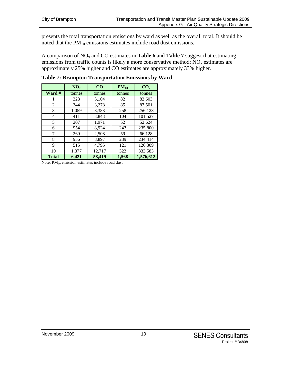presents the total transportation emissions by ward as well as the overall total. It should be noted that the PM<sub>10</sub> emissions estimates include road dust emissions.

A comparison of NO<sup>x</sup> and CO estimates in **Table 6** and **Table 7** suggest that estimating emissions from traffic counts is likely a more conservative method;  $NO<sub>x</sub>$  estimates are approximately 25% higher and CO estimates are approximately 33% higher.

|              | NO <sub>x</sub> | CO     | $PM_{10}$ | CO <sub>2</sub> |
|--------------|-----------------|--------|-----------|-----------------|
| Ward #       | tonnes          | tonnes | tonnes    | tonnes          |
|              | 328             | 3,104  | 82        | 82,603          |
| 2            | 344             | 3,278  | 85        | 87,501          |
| 3            | 1,059           | 8,383  | 258       | 256,123         |
| 4            | 411             | 3,843  | 104       | 101,527         |
| 5            | 207             | 1,971  | 52        | 52,624          |
| 6            | 954             | 8,924  | 243       | 235,800         |
| 7            | 269             | 2,508  | 59        | 66,128          |
| 8            | 956             | 8,897  | 239       | 234,414         |
| 9            | 515             | 4,795  | 121       | 126,309         |
| 10           | 1,377           | 12,717 | 323       | 333,583         |
| <b>Total</b> | 6,421           | 58,419 | 1,568     | 1,576,612       |

**Table 7: Brampton Transportation Emissions by Ward**

Note:  $PM_{10}$  emission estimates include road dust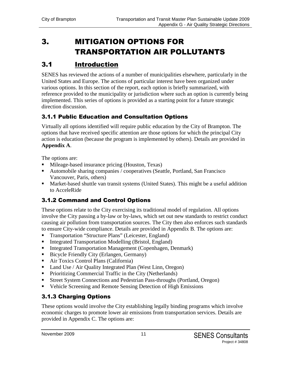# 3. MITIGATION OPTIONS FOR TRANSPORTATION AIR POLLUTANTS

# 3.1 Introduction

SENES has reviewed the actions of a number of municipalities elsewhere, particularly in the United States and Europe. The actions of particular interest have been organized under various options. In this section of the report, each option is briefly summarized, with reference provided to the municipality or jurisdiction where such an option is currently being implemented. This series of options is provided as a starting point for a future strategic direction discussion.

## 3.1.1 Public Education and Consultation Options

Virtually all options identified will require public education by the City of Brampton. The options that have received specific attention are those options for which the principal City action is education (because the program is implemented by others). Details are provided in **Appendix A**.

The options are:

- **Mileage-based insurance pricing (Houston, Texas)**
- Automobile sharing companies / cooperatives (Seattle, Portland, San Francisco Vancouver, Paris, others)
- Market-based shuttle van transit systems (United States). This might be a useful addition to AcceleRide

## 3.1.2 Command and Control Options

These options relate to the City exercising its traditional model of regulation. All options involve the City passing a by-law or by-laws, which set out new standards to restrict conduct causing air pollution from transportation sources. The City then also enforces such standards to ensure City-wide compliance. Details are provided in Appendix B. The options are:

- **Transportation "Structure Plans" (Leicester, England)**
- Integrated Transportation Modelling (Bristol, England)
- Integrated Transportation Management (Copenhagen, Denmark)
- Bicycle Friendly City (Erlangen, Germany)
- Air Toxics Control Plans (California)
- Land Use / Air Quality Integrated Plan (West Linn, Oregon)
- Prioritizing Commercial Traffic in the City (Netherlands)
- Street System Connections and Pedestrian Pass-throughs (Portland, Oregon)
- Vehicle Screening and Remote Sensing Detection of High Emissions

### 3.1.3 Charging Options

These options would involve the City establishing legally binding programs which involve economic charges to promote lower air emissions from transportation services. Details are provided in Appendix C. The options are: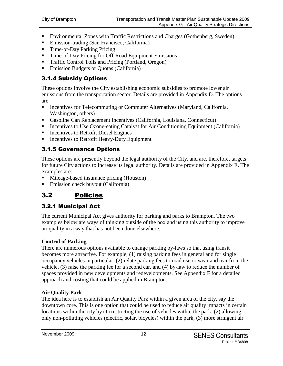- Environmental Zones with Traffic Restrictions and Charges (Gothenberg, Sweden)
- Emission-trading (San Francisco, California)
- Time-of-Day Parking Pricing
- Time-of-Day Pricing for Off-Road Equipment Emissions
- **Traffic Control Tolls and Pricing (Portland, Oregon)**
- Emission Budgets or Quotas (California)

## 3.1.4 Subsidy Options

These options involve the City establishing economic subsidies to promote lower air emissions from the transportation sector. Details are provided in Appendix D. The options are:

- **Incentives for Telecommuting or Commuter Alternatives (Maryland, California,** Washington, others)
- Gasoline Can Replacement Incentives (California, Louisiana, Connecticut)
- Incentives to Use Ozone-eating Catalyst for Air Conditioning Equipment (California)
- Incentives to Retrofit Diesel Engines
- **Incentives to Retrofit Heavy-Duty Equipment**

## 3.1.5 Governance Options

These options are presently beyond the legal authority of the City, and are, therefore, targets for future City actions to increase its legal authority. Details are provided in Appendix E. The examples are:

- Mileage-based insurance pricing (Houston)
- Emission check buyout (California)

# 3.2 Policies

## 3.2.1 Municipal Act

The current Municipal Act gives authority for parking and parks to Brampton. The two examples below are ways of thinking outside of the box and using this authority to improve air quality in a way that has not been done elsewhere.

#### **Control of Parking**

There are numerous options available to change parking by-laws so that using transit becomes more attractive. For example, (1) raising parking fees in general and for single occupancy vehicles in particular, (2) relate parking fees to road use or wear and tear from the vehicle, (3) raise the parking fee for a second car, and (4) by-law to reduce the number of spaces provided in new developments and redevelopments. See Appendix F for a detailed approach and costing that could be applied in Brampton.

#### **Air Quality Park**

The idea here is to establish an Air Quality Park within a given area of the city, say the downtown core. This is one option that could be used to reduce air quality impacts in certain locations within the city by (1) restricting the use of vehicles within the park, (2) allowing only non-polluting vehicles (electric, solar, bicycles) within the park, (3) more stringent air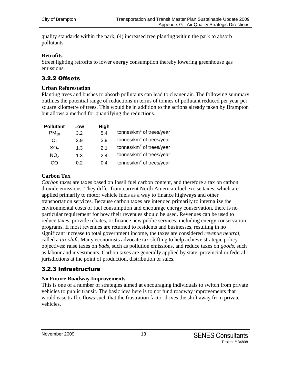quality standards within the park, (4) increased tree planting within the park to absorb pollutants.

#### **Retrofits**

Street lighting retrofits to lower energy consumption thereby lowering greenhouse gas emissions.

#### 3.2.2 Offsets

#### **Urban Reforestation**

Planting trees and bushes to absorb pollutants can lead to cleaner air. The following summary outlines the potential range of reductions in terms of tonnes of pollutant reduced per year per square kilometre of trees. This would be in addition to the actions already taken by Brampton but allows a method for quantifying the reductions.

| <b>Pollutant</b> | Low | High           |                              |
|------------------|-----|----------------|------------------------------|
| $PM_{10}$        | 3.2 | 5.4            | tonnes/ $km^2$ of trees/year |
| $O_3$            | 2.9 | 3.9            | tonnes/ $km^2$ of trees/year |
| SO <sub>2</sub>  | 1.3 | 2 <sub>1</sub> | tonnes/ $km^2$ of trees/year |
| NO <sub>2</sub>  | 1.3 | 24             | tonnes/ $km^2$ of trees/year |
| CO               | 0.2 | 0.4            | tonnes/ $km^2$ of trees/year |

#### **Carbon Tax**

*Carbon taxes* are taxes based on fossil fuel carbon content, and therefore a tax on carbon dioxide emissions. They differ from current North American fuel excise taxes, which are applied primarily to motor vehicle fuels as a way to finance highways and other transportation services. Because carbon taxes are intended primarily to internalize the environmental costs of fuel consumption and encourage energy conservation, there is no particular requirement for how their revenues should be used. Revenues can be used to reduce taxes, provide rebates, or finance new public services, including energy conservation programs. If most revenues are returned to residents and businesses, resulting in no significant increase to total government income, the taxes are considered *revenue neutral*, called a *tax shift*. Many economists advocate tax shifting to help achieve strategic policy objectives: raise taxes on *bads*, such as pollution emissions, and reduce taxes on *goods*, such as labour and investments. Carbon taxes are generally applied by state, provincial or federal jurisdictions at the point of production, distribution or sales.

#### 3.2.3 Infrastructure

#### **No Future Roadway Improvements**

This is one of a number of strategies aimed at encouraging individuals to switch from private vehicles to public transit. The basic idea here is to not fund roadway improvements that would ease traffic flows such that the frustration factor drives the shift away from private vehicles.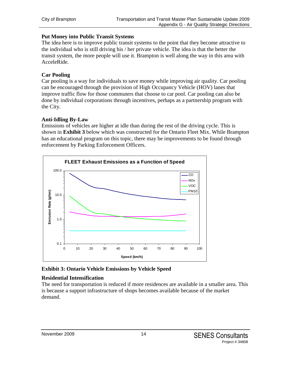#### **Put Money into Public Transit Systems**

The idea here is to improve public transit systems to the point that they become attractive to the individual who is still driving his / her private vehicle. The idea is that the better the transit system, the more people will use it. Brampton is well along the way in this area with AcceleRide.

#### **Car Pooling**

Car pooling is a way for individuals to save money while improving air quality. Car pooling can be encouraged through the provision of High Occupancy Vehicle (HOV) lanes that improve traffic flow for those commuters that choose to car pool. Car pooling can also be done by individual corporations through incentives, perhaps as a partnership program with the City.

#### **Anti-Idling By-Law**

Emissions of vehicles are higher at idle than during the rest of the driving cycle. This is shown in **Exhibit 3** below which was constructed for the Ontario Fleet Mix. While Brampton has an educational program on this topic, there may be improvements to be found through enforcement by Parking Enforcement Officers.



#### **Exhibit 3: Ontario Vehicle Emissions by Vehicle Speed**

#### **Residential Intensification**

The need for transportation is reduced if more residences are available in a smaller area. This is because a support infrastructure of shops becomes available because of the market demand.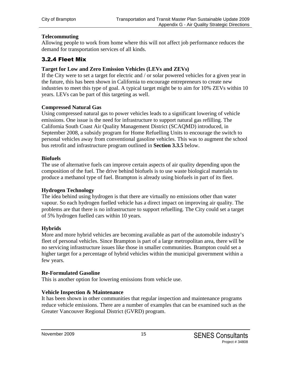#### **Telecommuting**

Allowing people to work from home where this will not affect job performance reduces the demand for transportation services of all kinds.

#### 3.2.4 Fleet Mix

#### **Target for Low and Zero Emission Vehicles (LEVs and ZEVs)**

If the City were to set a target for electric and / or solar powered vehicles for a given year in the future, this has been shown in California to encourage entrepreneurs to create new industries to meet this type of goal. A typical target might be to aim for 10% ZEVs within 10 years. LEVs can be part of this targeting as well.

#### **Compressed Natural Gas**

Using compressed natural gas to power vehicles leads to a significant lowering of vehicle emissions. One issue is the need for infrastructure to support natural gas refilling. The California South Coast Air Quality Management District (SCAQMD) introduced, in September 2008, a subsidy program for Home Refuelling Units to encourage the switch to personal vehicles away from conventional gasoline vehicles. This was to augment the school bus retrofit and infrastructure program outlined in **Section 3.3.5** below.

#### **Biofuels**

The use of alternative fuels can improve certain aspects of air quality depending upon the composition of the fuel. The drive behind biofuels is to use waste biological materials to produce a methanol type of fuel. Brampton is already using biofuels in part of its fleet.

#### **Hydrogen Technology**

The idea behind using hydrogen is that there are virtually no emissions other than water vapour. So each hydrogen fuelled vehicle has a direct impact on improving air quality. The problems are that there is no infrastructure to support refuelling. The City could set a target of 5% hydrogen fuelled cars within 10 years.

#### **Hybrids**

More and more hybrid vehicles are becoming available as part of the automobile industry's fleet of personal vehicles. Since Brampton is part of a large metropolitan area, there will be no servicing infrastructure issues like those in smaller communities. Brampton could set a higher target for a percentage of hybrid vehicles within the municipal government within a few years.

#### **Re-Formulated Gasoline**

This is another option for lowering emissions from vehicle use.

#### **Vehicle Inspection & Maintenance**

It has been shown in other communities that regular inspection and maintenance programs reduce vehicle emissions. There are a number of examples that can be examined such as the Greater Vancouver Regional District (GVRD) program.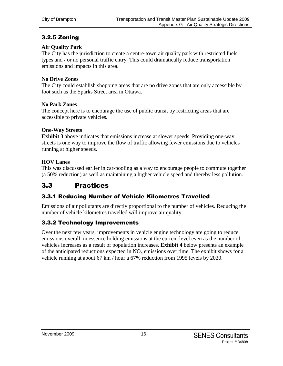### 3.2.5 Zoning

#### **Air Quality Park**

The City has the jurisdiction to create a centre-town air quality park with restricted fuels types and / or no personal traffic entry. This could dramatically reduce transportation emissions and impacts in this area.

#### **No Drive Zones**

The City could establish shopping areas that are no drive zones that are only accessible by foot such as the Sparks Street area in Ottawa.

#### **No Park Zones**

The concept here is to encourage the use of public transit by restricting areas that are accessible to private vehicles.

#### **One-Way Streets**

**Exhibit 3** above indicates that emissions increase at slower speeds. Providing one-way streets is one way to improve the flow of traffic allowing fewer emissions due to vehicles running at higher speeds.

#### **HOV Lanes**

This was discussed earlier in car-pooling as a way to encourage people to commute together (a 50% reduction) as well as maintaining a higher vehicle speed and thereby less pollution.

## 3.3 Practices

#### 3.3.1 Reducing Number of Vehicle Kilometres Travelled

Emissions of air pollutants are directly proportional to the number of vehicles. Reducing the number of vehicle kilometres travelled will improve air quality.

#### 3.3.2 Technology Improvements

Over the next few years, improvements in vehicle engine technology are going to reduce emissions overall, in essence holding emissions at the current level even as the number of vehicles increases as a result of population increases. **Exhibit 4** below presents an example of the anticipated reductions expected in  $NO<sub>x</sub>$  emissions over time. The exhibit shows for a vehicle running at about 67 km / hour a 67% reduction from 1995 levels by 2020.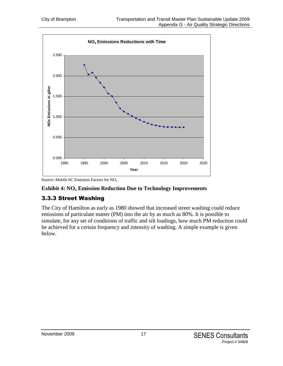

Source: Mobile 6C Emission Factors for  $NO<sub>x</sub>$ 

#### **Exhibit 4: NO<sup>x</sup> Emission Reduction Due to Technology Improvements**

### 3.3.3 Street Washing

The City of Hamilton as early as 1980 showed that increased street washing could reduce emissions of particulate matter (PM) into the air by as much as 80%. It is possible to simulate, for any set of conditions of traffic and silt loadings, how much PM reduction could be achieved for a certain frequency and intensity of washing. A simple example is given below.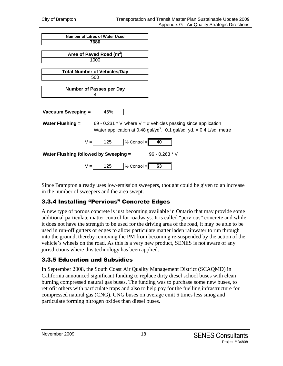| <b>Number of Litres of Water Used</b>                                                                                                                                           |
|---------------------------------------------------------------------------------------------------------------------------------------------------------------------------------|
| 7680                                                                                                                                                                            |
|                                                                                                                                                                                 |
| Area of Paved Road (m <sup>2</sup> )                                                                                                                                            |
| 1000                                                                                                                                                                            |
|                                                                                                                                                                                 |
| <b>Total Number of Vehicles/Day</b>                                                                                                                                             |
| 500                                                                                                                                                                             |
|                                                                                                                                                                                 |
| <b>Number of Passes per Day</b>                                                                                                                                                 |
| 4                                                                                                                                                                               |
| Vaccuum Sweeping =<br>46%                                                                                                                                                       |
| 69 - 0.231 * V where $V = #$ vehicles passing since application<br><b>Water Flushing =</b><br>Water application at 0.48 gal/yd <sup>2</sup> . 0.1 gal/sq. yd. = 0.4 L/sq. metre |
| 125<br>% Control =<br>$V =$<br>40                                                                                                                                               |
| $96 - 0.263 * V$<br>Water Flushing followed by Sweeping =                                                                                                                       |
| 125<br>% Control =<br>63                                                                                                                                                        |

Since Brampton already uses low-emission sweepers, thought could be given to an increase in the number of sweepers and the area swept.

### 3.3.4 Installing "Pervious" Concrete Edges

A new type of porous concrete is just becoming available in Ontario that may provide some additional particulate matter control for roadways. It is called "pervious" concrete and while it does not have the strength to be used for the driving area of the road, it may be able to be used in run-off gutters or edges to allow particulate matter laden rainwater to run through into the ground, thereby removing the PM from becoming re-suspended by the action of the vehicle's wheels on the road. As this is a very new product, SENES is not aware of any jurisdictions where this technology has been applied.

#### 3.3.5 Education and Subsidies

In September 2008, the South Coast Air Quality Management District (SCAQMD) in California announced significant funding to replace dirty diesel school buses with clean burning compressed natural gas buses. The funding was to purchase some new buses, to retrofit others with particulate traps and also to help pay for the fuelling infrastructure for compressed natural gas (CNG). CNG buses on average emit 6 times less smog and particulate forming nitrogen oxides than diesel buses.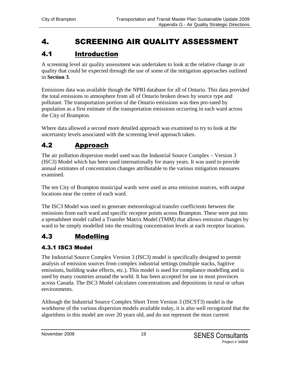# 4. SCREENING AIR QUALITY ASSESSMENT

# 4.1 Introduction

A screening level air quality assessment was undertaken to look at the relative change in air quality that could be expected through the use of some of the mitigation approaches outlined in **Section 3**.

Emissions data was available though the NPRI database for all of Ontario. This data provided the total emissions to atmosphere from all of Ontario broken down by source type and pollutant. The transportation portion of the Ontario emissions was then pro-rated by population as a first estimate of the transportation emissions occurring in each ward across the City of Brampton.

Where data allowed a second more detailed approach was examined to try to look at the uncertainty levels associated with the screening level approach taken.

# 4.2 Approach

The air pollution dispersion model used was the Industrial Source Complex – Version 3 (ISC3) Model which has been used internationally for many years. It was used to provide annual estimates of concentration changes attributable to the various mitigation measures examined.

The ten City of Brampton municipal wards were used as area emission sources, with output locations near the centre of each ward.

The ISC3 Model was used to generate meteorological transfer coefficients between the emissions from each ward and specific receptor points across Brampton. These were put into a spreadsheet model called a Transfer Matrix Model (TMM) that allows emission changes by ward to be simply modelled into the resulting concentration levels at each receptor location.

# 4.3 Modelling

## 4.3.1 ISC3 Model

The Industrial Source Complex Version 3 (ISC3) model is specifically designed to permit analysis of emission sources from complex industrial settings (multiple stacks, fugitive emissions, building wake effects, etc.). This model is used for compliance modelling and is used by many countries around the world. It has been accepted for use in most provinces across Canada. The ISC3 Model calculates concentrations and depositions in rural or urban environments.

Although the Industrial Source Complex Short Term Version 3 (ISCST3) model is the workhorse of the various dispersion models available today, it is also well recognized that the algorithms in this model are over 20 years old, and do not represent the most current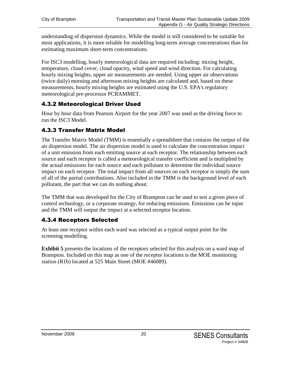understanding of dispersion dynamics. While the model is still considered to be suitable for most applications, it is more reliable for modelling long-term average concentrations than for estimating maximum short-term concentrations.

For ISC3 modelling, hourly meteorological data are required including: mixing height, temperature, cloud cover, cloud opacity, wind speed and wind direction. For calculating hourly mixing heights, upper air measurements are needed. Using upper air observations (twice daily) morning and afternoon mixing heights are calculated and, based on these measurements, hourly mixing heights are estimated using the U.S. EPA's regulatory meteorological pre-processor PCRAMMET.

### 4.3.2 Meteorological Driver Used

Hour by hour data from Pearson Airport for the year 2007 was used as the driving force to run the ISC3 Model.

#### 4.3.3 Transfer Matrix Model

The Transfer Matrix Model (TMM) is essentially a spreadsheet that contains the output of the air dispersion model. The air dispersion model is used to calculate the concentration impact of a unit emission from each emitting source at each receptor. The relationship between each source and each receptor is called a meteorological transfer coefficient and is multiplied by the actual emissions for each source and each pollutant to determine the individual source impact on each receptor. The total impact from all sources on each receptor is simply the sum of all of the partial contributions. Also included in the TMM is the background level of each pollutant, the part that we can do nothing about.

The TMM that was developed for the City of Brampton can be used to test a given piece of control technology, or a corporate strategy, for reducing emissions. Emissions can be input and the TMM will output the impact at a selected receptor location.

#### 4.3.4 Receptors Selected

At least one receptor within each ward was selected as a typical output point for the screening modelling.

**Exhibit** 5 presents the locations of the receptors selected for this analysis on a ward map of Brampton. Included on this map as one of the receptor locations is the MOE monitoring station (R1b) located at 525 Main Street (MOE #46089).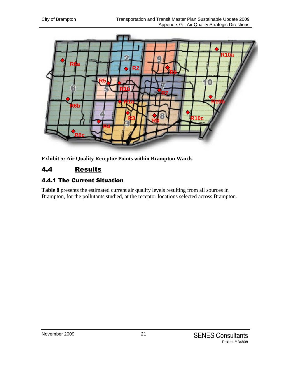

**Exhibit 5: Air Quality Receptor Points within Brampton Wards**

# 4.4 Results

### 4.4.1 The Current Situation

**Table 8** presents the estimated current air quality levels resulting from all sources in Brampton, for the pollutants studied, at the receptor locations selected across Brampton.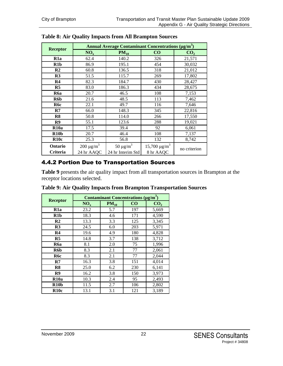|                  | <b>Annual Average Contaminant Concentrations (µg/m<sup>3</sup>)</b> |                           |                      |                 |  |  |  |  |
|------------------|---------------------------------------------------------------------|---------------------------|----------------------|-----------------|--|--|--|--|
| <b>Receptor</b>  | NO <sub>x</sub>                                                     | $PM_{10}$                 | $\bf CO$             | CO <sub>2</sub> |  |  |  |  |
| R <sub>1</sub> a | 62.4                                                                | 140.2                     | 326                  | 21,571          |  |  |  |  |
| R1b              | 86.9                                                                | 195.1                     | 454                  | 30,032          |  |  |  |  |
| R <sub>2</sub>   | 60.8                                                                | 136.5                     | 318                  | 21,012          |  |  |  |  |
| R3               | 51.5                                                                | 115.7                     | 269                  | 17,802          |  |  |  |  |
| R <sub>4</sub>   | 82.3                                                                | 184.7                     | 430                  | 28,427          |  |  |  |  |
| R <sub>5</sub>   | 83.0                                                                | 186.3                     | 434                  | 28,675          |  |  |  |  |
| R <sub>6</sub> a | 20.7                                                                | 46.5                      | 108                  | 7,153           |  |  |  |  |
| R6b              | 21.6                                                                | 48.5                      | 113                  | 7,462           |  |  |  |  |
| R6c              | 22.1                                                                | 49.7                      | 116                  | 7,646           |  |  |  |  |
| $\mathbf{R}$     | 66.0                                                                | 148.3                     | 345                  | 22,816          |  |  |  |  |
| R8               | 50.8                                                                | 114.0                     | 266                  | 17,550          |  |  |  |  |
| R9               | 55.1                                                                | 123.6                     | 288                  | 19,021          |  |  |  |  |
| R10a             | 17.5                                                                | 39.4                      | 92                   | 6,061           |  |  |  |  |
| R10 <sub>b</sub> | 20.7                                                                | 46.4                      | 108                  | 7,137           |  |  |  |  |
| R10c             | 25.3                                                                | 56.8                      | 132                  | 8,742           |  |  |  |  |
| Ontario          | $200 \mu g/m^3$                                                     | 50 $\mu$ g/m <sup>3</sup> | $15,700 \,\mu g/m^3$ |                 |  |  |  |  |
| Criteria         | 24 hr AAQC                                                          | 24 hr Interim Std         | 8 hr AAQC            | no criterion    |  |  |  |  |

**Table 8: Air Quality Impacts from All Brampton Sources**

#### 4.4.2 Portion Due to Transportation Sources

**Table 9** presents the air quality impact from all transportation sources in Brampton at the receptor locations selected.

|                  | Contaminant Concentrations $(\mu g/m^3)$ |           |     |                 |  |  |  |  |
|------------------|------------------------------------------|-----------|-----|-----------------|--|--|--|--|
| <b>Receptor</b>  | $NO_x$                                   | $PM_{10}$ | CO  | CO <sub>2</sub> |  |  |  |  |
| R <sub>1</sub> a | 23.2                                     | 5.7       | 197 | 5,669           |  |  |  |  |
| R <sub>1</sub> b | 18.3                                     | 4.6       | 171 | 4,590           |  |  |  |  |
| R <sub>2</sub>   | 13.3                                     | 3.3       | 125 | 3,345           |  |  |  |  |
| R3               | 24.5                                     | 6.0       | 203 | 5,971           |  |  |  |  |
| R <sub>4</sub>   | 19.6                                     | 4.9       | 180 | 4,828           |  |  |  |  |
| R <sub>5</sub>   | 14.8                                     | 3.7       | 138 | 3,712           |  |  |  |  |
| R6a              | 8.1                                      | 2.0       | 75  | 1,996           |  |  |  |  |
| R6b              | 8.3                                      | 2.1       | 77  | 2,061           |  |  |  |  |
| R6c              | 8.3                                      | 2.1       | 77  | 2,044           |  |  |  |  |
| R7               | 16.3                                     | 3.8       | 151 | 4,014           |  |  |  |  |
| R <sub>8</sub>   | 25.0                                     | 6.2       | 230 | 6,141           |  |  |  |  |
| R <sub>9</sub>   | 16.2                                     | 3.8       | 150 | 3,973           |  |  |  |  |
| R10a             | 10.3                                     | 2.4       | 95  | 2,493           |  |  |  |  |
| R10 <sub>b</sub> | 11.5                                     | 2.7       | 106 | 2,802           |  |  |  |  |
| R10c             | 13.1                                     | 3.1       | 121 | 3,189           |  |  |  |  |

**Table 9: Air Quality Impacts from Brampton Transportation Sources**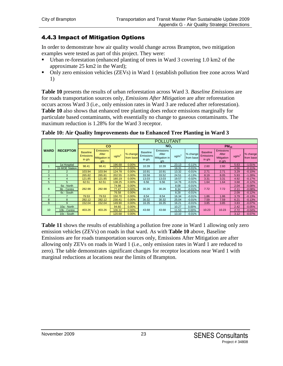#### 4.4.3 Impact of Mitigation Options

In order to demonstrate how air quality would change across Brampton, two mitigation examples were tested as part of this project. They were:

- Urban re-forestation (enhanced planting of trees in Ward 3 covering 1.0 km2 of the approximate 25 km2 in the Ward);
- Only zero emission vehicles (ZEVs) in Ward 1 (establish pollution free zone across Ward 1)

**Table 10** presents the results of urban reforestation across Ward 3. *Baseline Emissions* are for roads transportation sources only, *Emissions After Mitigation* are after reforestation occurs across Ward 3 (i.e., only emission rates in Ward 3 are reduced after reforestation). **Table 10** also shows that enhanced tree planting does reduce emissions marginally for particulate based contaminants, with essentially no change to gaseous contaminants. The maximum reduction is 1.28% for the Ward 3 receptor.

|                |                  |                                                 | <b>POLLUTANT</b>                                         |                        |                       |                                                 |                                            |                    |                       |                                                 |                                                            |                    |                       |
|----------------|------------------|-------------------------------------------------|----------------------------------------------------------|------------------------|-----------------------|-------------------------------------------------|--------------------------------------------|--------------------|-----------------------|-------------------------------------------------|------------------------------------------------------------|--------------------|-----------------------|
|                |                  | $\mathbf{co}$                                   |                                                          |                        |                       | NO <sub>x</sub>                                 |                                            |                    | $PM_{10}$             |                                                 |                                                            |                    |                       |
| <b>WARD</b>    | <b>RECEPTOR</b>  | <b>Baseline</b><br><b>Emissions</b><br>in $g/s$ | <b>Emissions</b><br>After<br><b>Mitigation in</b><br>q/s | $\text{u}\text{g/m}^3$ | % change<br>from base | <b>Baseline</b><br><b>Emissions</b><br>in $g/s$ | Emissions<br>After<br>Mitigation in<br>q/s | u g/m <sup>3</sup> | % change<br>from base | <b>Baseline</b><br><b>Emissions</b><br>in $g/s$ | <b>Emissions</b><br>After<br><b>Mitigation</b><br>in $q/s$ | u g/m <sup>3</sup> | % change<br>from base |
|                | 1a Hospital      | 98.41                                           | 98.41                                                    | 196.68                 | 0.00%                 | 10.39                                           | 10.39                                      | 23.13              | $-0.11%$              | 2.60                                            | 2.60                                                       | 5.63               | $-1.01%$              |
|                | 1b MOE Station   |                                                 |                                                          | 171.21                 | 0.00%                 |                                                 |                                            | 18.31              | $-0.01%$              |                                                 |                                                            | 4.56               | $-0.11%$              |
| $\overline{2}$ |                  | 103.94                                          | 103.94                                                   | 124.78                 | 0.00%                 | 10.91                                           | 10.91                                      | 13.32              | $-0.01%$              | 2.71                                            | 2.71                                                       | 3.29               | $-0.10%$              |
| 3              | 3                | 265.82                                          | 265.81                                                   | 202.55                 | 0.00%                 | 33.58                                           | 33.52                                      | 24.51              | $-0.13%$              | 8.19                                            | 8.05                                                       | 5.93               | $-1.28%$              |
| 4              | 4                | 121.85                                          | 121.85                                                   | 180.19                 | 0.00%                 | 13.03                                           | 13.03                                      | 19.57              | $-0.02%$              | 3.31                                            | 3.31                                                       | 4.92               | $-0.17%$              |
| 5              | 5                | 62.51                                           | 62.51                                                    | 138.25                 | 0.00%                 | 6.56                                            | 6.56                                       | 14.76              | $-0.01%$              | 1.64                                            | 1.64                                                       | 3.68               | $-0.12%$              |
|                | 6a - North       |                                                 |                                                          | 74.98                  | 0.00%                 |                                                 |                                            | 8.08               | $-0.01%$              |                                                 |                                                            | 2.04               | $-0.08%$              |
| 6              | Centre<br>$6b -$ | 282.98                                          | 282.98                                                   | 77.47                  | 0.00%                 | 30.26                                           | 30.26                                      | 8.34               | $-0.01%$              | 7.72                                            | 7.72                                                       | 2.11               | $-0.08%$              |
|                | 6c - South       |                                                 |                                                          | 76.58                  | 0.00%                 |                                                 |                                            | 8.28               | $-0.01%$              |                                                 |                                                            | 2.09               | $-0.12%$              |
| $\overline{7}$ |                  | 79.53                                           | 79.53                                                    | 150.70                 | 0.00%                 | 8.54                                            | 8.54                                       | 16.34              | $-0.01%$              | 1.86                                            | .86                                                        | 3.79               | $-0.13%$              |
| 8              | 8                | 282.12                                          | 282.12                                                   | 230.41                 | 0.00%                 | 30.32                                           | 30.32                                      | 25.04              | $-0.01%$              | 7.59                                            | 7.59                                                       | 6.21               | $-0.13%$              |
| 9              | 9                | 152.04                                          | 152.04                                                   | 149.90                 | 0.00%                 | 16.35                                           | 16.35                                      | 16.21              | $-0.01%$              | 3.85                                            | 3.85                                                       | 3.83               | $-0.07%$              |
|                | 10a - North      |                                                 |                                                          | 94.60                  | 0.00%                 |                                                 |                                            | 10.27              | 0.00%                 |                                                 |                                                            | 2.42               | $-0.05%$              |
| 10             | 10b - Centre     | 403.26                                          | 403.26                                                   | 106.32                 | 0.00%                 | 43.68                                           | 43.68                                      | 11.53              | 0.00%                 | 10.23                                           | 10.23                                                      | 2.72               | $-0.04%$              |
|                | 10c - South      |                                                 |                                                          | 120.68                 | 0.00%                 |                                                 |                                            | 13.10              | $-0.01%$              |                                                 |                                                            | 3.12               | $-0.07%$              |

**Table 10: Air Quality Improvements due to Enhanced Tree Planting in Ward 3**

**Table 11** shows the results of establishing a pollution free zone in Ward 1 allowing only zero emission vehicles (ZEVs) on roads in that ward. As with **Table 10** above, Baseline Emissions are for roads transportation sources only, Emissions After Mitigation are after allowing only ZEVs on roads in Ward 1 (i.e., only emission rates in Ward 1 are reduced to zero). The table demonstrates significant changes for receptor locations near Ward 1 with marginal reductions at locations near the limits of Brampton.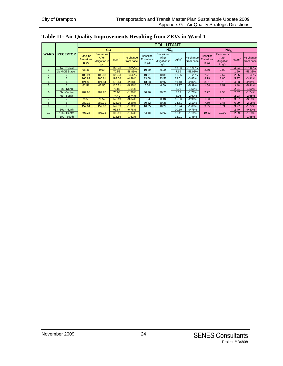| Table 11: Air Quality Improvements Resulting from ZEVs in Ward 1 |  |  |  |  |
|------------------------------------------------------------------|--|--|--|--|
|------------------------------------------------------------------|--|--|--|--|

|                |                   |                                                 | <b>POLLUTANT</b>                                         |                   |                       |                                                 |                                            |                   |                       |                                                 |                                                            |                 |                       |
|----------------|-------------------|-------------------------------------------------|----------------------------------------------------------|-------------------|-----------------------|-------------------------------------------------|--------------------------------------------|-------------------|-----------------------|-------------------------------------------------|------------------------------------------------------------|-----------------|-----------------------|
|                |                   |                                                 | <b>CO</b>                                                |                   |                       | NO <sub>x</sub>                                 |                                            |                   |                       |                                                 | $PM_{10}$                                                  |                 |                       |
| <b>WARD</b>    | <b>RECEPTOR</b>   | <b>Baseline</b><br><b>Emissions</b><br>in $q/s$ | <b>Emissions</b><br>After<br><b>Mitigation in</b><br>q/s | uq/m <sup>3</sup> | % change<br>from base | <b>Baseline</b><br><b>Emissions</b><br>in $g/s$ | Emissions<br>After<br>Mitigation in<br>g/s | uq/m <sup>3</sup> | % change<br>from base | <b>Baseline</b><br><b>Emissions</b><br>in $g/s$ | <b>Emissions</b><br>After<br><b>Mitigation</b><br>in $g/s$ | $\text{ug/m}^3$ | % change<br>from base |
|                | 1a Hospital       | 98.41                                           | 0.00                                                     | 160.76            | $-18.27%$             | 10.39                                           | 0.00                                       | 19.36             | $-16.38%$             | 2.60                                            | 0.00                                                       | 4.74            | $-16.69%$             |
|                | 1b MOE Station    |                                                 |                                                          | 70.52             | $-58.81%$             |                                                 |                                            | 7.69              | $-58.03%$             |                                                 |                                                            | 1.90            | $-58.33%$             |
| $\overline{2}$ | $\overline{2}$    | 103.94                                          | 103.93                                                   | 108.03            | $-13.42%$             | 10.91                                           | 10.85                                      | 11.56             | $-13.26%$             | 2.71                                            | 2.57                                                       | 2.85            | $-13.42%$             |
| 3              | 3                 | 265.82                                          | 265.81                                                   | 193.66            | $-4.39%$              | 33.58                                           | 33.52                                      | 23.61             | $-3.83%$              | 8.19                                            | 8.05                                                       | 5.77            | $-3.91%$              |
| $\overline{4}$ | 4                 | 121.85                                          | 121.84                                                   | 176.44            | $-2.08%$              | 13.03                                           | 12.97                                      | 19.18             | $-2.02%$              | 3.31                                            | 3.18                                                       | 4.83            | $-2.01%$              |
| 5              | 5                 | 62.51                                           | 62.50                                                    | 130.71            | $-5.45%$              | 6.56                                            | 6.50                                       | 13.97             | $-5.39%$              | 1.64                                            | 1.51                                                       | 3.48            | $-5.41%$              |
|                | 6a - North        |                                                 |                                                          | 73.82             | $-1.54%$              |                                                 |                                            | 7.96              | $-1.51%$              |                                                 |                                                            | 2.01            | $-1.50%$              |
| 6              | 6b - Centre       | 282.98                                          | 282.97                                                   | 76.08             | $-1.79%$              | 30.26                                           | 30.20                                      | 8.19              | $-1.76%$              | 7.72                                            | 7.58                                                       | 2.07            | $-1.74%$              |
|                | 6c - South        |                                                 |                                                          | 74.49             | $-2.74%$              |                                                 |                                            | 8.06              | $-2.67%$              |                                                 |                                                            | 2.03            | $-2.65%$              |
| $\overline{7}$ |                   | 79.53                                           | 79.52                                                    | 146.13            | $-3.04%$              | 8.54                                            | 8.48                                       | 15.86             | $-2.96%$              | 1.86                                            | 1.73                                                       | 3.67            | $-3.19%$              |
| 8              | 8                 | 282.12                                          | 282.11                                                   | 225.35            | $-2.20%$              | 30.32                                           | 30.26                                      | 24.51             | $-2.13%$              | 7.59                                            | 7.46                                                       | 6.09            | $-2.15%$              |
| 9              | 9                 | 152.04                                          | 152.03                                                   | 147.33            | $-1.72%$              | 16.35                                           | 16.29                                      | 15.94             | $-1.68%$              | 3.85                                            | 3.71                                                       | 3.77            | $-1.77%$              |
|                | 10a - North       |                                                 |                                                          | 93.87             | $-0.78%$              |                                                 |                                            | 10.19             | $-0.76%$              |                                                 |                                                            | 2.40            | $-0.80%$              |
| 10             | Centre<br>$10b$ - | 403.26                                          | 403.25                                                   | 105.11            | $-1.14%$              | 43.68                                           | 43.62                                      | 11.41             | $-1.11%$              | 10.23                                           | 10.09                                                      | 2.69            | $-1.18%$              |
|                | 10c - South       |                                                 |                                                          | 118.85            | $-1.52%$              |                                                 |                                            | 12.91             | $-1.48%$              |                                                 |                                                            | 3.07            | $-1.55%$              |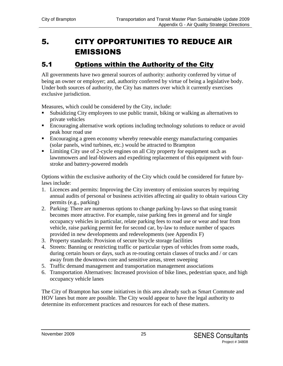# 5. CITY OPPORTUNITIES TO REDUCE AIR EMISSIONS

## 5.1 Options within the Authority of the City

All governments have two general sources of authority: authority conferred by virtue of being an owner or employer; and, authority conferred by virtue of being a legislative body. Under both sources of authority, the City has matters over which it currently exercises exclusive jurisdiction.

Measures, which could be considered by the City, include:

- Subsidizing City employees to use public transit, biking or walking as alternatives to private vehicles
- **Encouraging alternative work options including technology solutions to reduce or avoid** peak hour road use
- Encouraging a green economy whereby renewable energy manufacturing companies (solar panels, wind turbines, etc.) would be attracted to Brampton
- Limiting City use of 2-cycle engines on all City property for equipment such as lawnmowers and leaf-blowers and expediting replacement of this equipment with fourstroke and battery-powered models

Options within the exclusive authority of the City which could be considered for future bylaws include:

- 1. Licences and permits: Improving the City inventory of emission sources by requiring annual audits of personal or business activities affecting air quality to obtain various City permits (e.g., parking)
- 2. Parking: There are numerous options to change parking by-laws so that using transit becomes more attractive. For example, raise parking fees in general and for single occupancy vehicles in particular, relate parking fees to road use or wear and tear from vehicle, raise parking permit fee for second car, by-law to reduce number of spaces provided in new developments and redevelopments (see Appendix F)
- 3. Property standards: Provision of secure bicycle storage facilities
- 4. Streets: Banning or restricting traffic or particular types of vehicles from some roads, during certain hours or days, such as re-routing certain classes of trucks and / or cars away from the downtown core and sensitive areas, street sweeping
- 5. Traffic demand management and transportation management associations
- 6. Transportation Alternatives: Increased provision of bike lines, pedestrian space, and high occupancy vehicle lanes

The City of Brampton has some initiatives in this area already such as Smart Commute and HOV lanes but more are possible. The City would appear to have the legal authority to determine its enforcement practices and resources for each of these matters.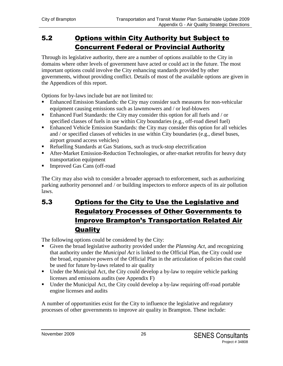# 5.2 Options within City Authority but Subject to Concurrent Federal or Provincial Authority

Through its legislative authority, there are a number of options available to the City in domains where other levels of government have acted or could act in the future. The most important options could involve the City enhancing standards provided by other governments, without providing conflict. Details of most of the available options are given in the Appendices of this report.

Options for by-laws include but are not limited to:

- Enhanced Emission Standards: the City may consider such measures for non-vehicular equipment causing emissions such as lawnmowers and / or leaf-blowers
- Enhanced Fuel Standards: the City may consider this option for all fuels and / or specified classes of fuels in use within City boundaries (e.g., off-road diesel fuel)
- Enhanced Vehicle Emission Standards: the City may consider this option for all vehicles and / or specified classes of vehicles in use within City boundaries (e.g., diesel buses, airport ground access vehicles)
- Refuelling Standards at Gas Stations, such as truck-stop electrification
- After-Market Emission-Reduction Technologies, or after-market retrofits for heavy duty transportation equipment
- Improved Gas Cans (off-road

The City may also wish to consider a broader approach to enforcement, such as authorizing parking authority personnel and / or building inspectors to enforce aspects of its air pollution laws.

# 5.3 Options for the City to Use the Legislative and Regulatory Processes of Other Governments to Improve Brampton's Transportation Related Air **Quality**

The following options could be considered by the City:

- Given the broad legislative authority provided under the *Planning Act*, and recognizing that authority under the *Municipal Act* is linked to the Official Plan, the City could use the broad, expansive powers of the Official Plan in the articulation of policies that could be used for future by-laws related to air quality
- Under the Municipal Act, the City could develop a by-law to require vehicle parking licenses and emissions audits (see Appendix F)
- Under the Municipal Act, the City could develop a by-law requiring off-road portable engine licenses and audits

A number of opportunities exist for the City to influence the legislative and regulatory processes of other governments to improve air quality in Brampton. These include: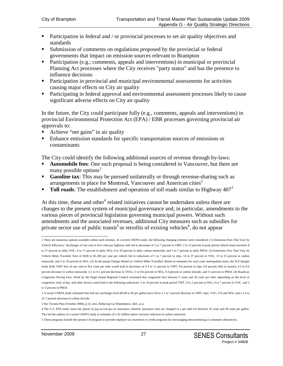- **Participation in federal and / or provincial processes to set air quality objectives and** standards
- Submission of comments on regulations proposed by the provincial or federal governments that impact on emission sources relevant to Brampton
- Participation (e.g.; comments, appeals and interventions) in municipal or provincial Planning Act processes where the City receives "party status" and has the presence to influence decisions
- **Participation in provincial and municipal environmental assessments for activities** causing major effects on City air quality
- **Participating in federal approval and environmental assessment processes likely to cause** significant adverse effects on City air quality

In the future, the City could participate fully (e.g., comments, appeals and interventions) in provincial Environmental Protection Act (EPA) / EBR processes governing provincial air approvals to:

- Achieve "net gains" in air quality
- Enhance emission standards for specific transportation sources of emissions or contaminants

The City could identify the following additional sources of revenue through by-laws:

- **Automobile fees:** One such proposal is being considered in Vancouver, but there are many possible options<sup>1</sup>
- **Gasoline tax**: This may be pursued unilaterally or through revenue-sharing such as arrangements in place for Montreal, Vancouver and American cities<sup>2</sup>
- **Toll roads**: The establishment and operation of toll roads similar to Highway 407<sup>3</sup>

At this time, these and other<sup>4</sup> related initiatives cannot be undertaken unless there are changes to the present system of municipal governance and, in particular, amendments to the various pieces of provincial legislation governing municipal powers. Without such amendments and the associated revenues, additional City measures such as subsidies for private sector use of public transit<sup>5</sup> or retrofits of existing vehicles<sup>6</sup>, do not appear

3 See Toronto Plan (October 2000), p.12; also, Reducing Car Dependence, ibid., p.xi.

<sup>1</sup> There are numerous options available within such schemes. In a recent USEPA study, the following charging schemes were considered: (1) Emissions Fees That Vary by Vehicle Efficiency: Surcharges of one cent to five cents per highway mile led to decreases of 2 to 7 percent in VMT; 2 to 12 percent in peak period vehicle hours traveled; 8 to 37 percent in daily VOC, 4 to 17 percent in daily NOx; 8 to 20 percent in daily carbon monoxide; and 3 to 7 percent in daily PM10. (2) Emissions Fees That Vary by Vehicle Miles Traveled: Fees of \$200 to \$1,200 per year per vehicle led to reductions of 1 to 7 percent in trips, 14 to 37 percent in VOC, 13 to 35 percent in carbon monoxide, and 5 to 18 percent in NOx. (3) At-the-pump Charges Based on Vehicle Miles Travelled: Based on estimates for west coast metropolitan areas, the ICF/Apogee study finds VMT fees of one cent to five cents per mile would lead to decreases of 9.3 to 11 percent in VMT, 8.6 percent in trips (10 percent shift to transit), 4.5 to 8.6 percent decrease in carbon monoxide, 4.1 to 9.1 percent decrease in VOCs, 5 to 8.6 percent in NOx, 9.4 percent in carbon dioxide, and 11 percent in PM10. (4) Roadway Congestion Pricing Fees: Work by the Puget Sound Regional Council estimated that congestion fees between 5 cents and 30 cents per mile, depending on the level of congestion, time of day, and other factors could lead to the following reductions: 5 to 10 percent in peak period VMT, 0 to 2 percent in NOx, 0 to 7 percent in VOC, and 2 to 3 percent in PM10.

<sup>2</sup> A recent USEPA study estimated that fuel tax surcharges from \$0.40 to \$2 per gallon have led to a 1 to 7 percent decrease in VMT, trips, VOC, CO and NOx, and a 1.4 to 25.7 percent decrease in carbon dioxide.

<sup>4</sup> The U.S. EPA study raises the option of pay-as-you-go car insurance, whereby insurance rates are changed to a per mile fee between 10 cents and 40 cents per gallon. This led the authors of a recent USEPA study to estimates of a 32 million metric ton/year reduction in carbon emissions.

<sup>5</sup> These programs include the present US program to provide employer tax incentives or credit programs for encouraging telecommuting or commuter alternatives.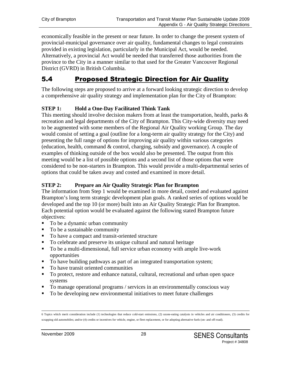economically feasible in the present or near future. In order to change the present system of provincial-municipal governance over air quality, fundamental changes to legal constraints provided in existing legislation, particularly in the Municipal Act, would be needed. Alternatively, a provincial Act would be needed that transferred those authorities from the province to the City in a manner similar to that used for the Greater Vancouver Regional District (GVRD) in British Columbia.

## 5.4 Proposed Strategic Direction for Air Quality

The following steps are proposed to arrive at a forward looking strategic direction to develop a comprehensive air quality strategy and implementation plan for the City of Brampton:

#### **STEP 1: Hold a One-Day Facilitated Think Tank**

This meeting should involve decision makers from at least the transportation, health, parks  $\&$ recreation and legal departments of the City of Brampton. This City-wide diversity may need to be augmented with some members of the Regional Air Quality working Group. The day would consist of setting a goal (outline for a long-term air quality strategy for the City) and presenting the full range of options for improving air quality within various categories (education, health, command & control, charging, subsidy and governance). A couple of examples of thinking outside of the box would also be presented. The output from this meeting would be a list of possible options and a second list of those options that were considered to be non-starters in Brampton. This would provide a multi-departmental series of options that could be taken away and costed and examined in more detail.

#### **STEP 2: Prepare an Air Quality Strategic Plan for Brampton**

The information from Step 1 would be examined in more detail, costed and evaluated against Brampton's long term strategic development plan goals. A ranked series of options would be developed and the top 10 (or more) built into an Air Quality Strategic Plan for Brampton. Each potential option would be evaluated against the following stated Brampton future objectives:

- To be a dynamic urban community
- To be a sustainable community
- To have a compact and transit-oriented structure
- To celebrate and preserve its unique cultural and natural heritage
- To be a multi-dimensional, full service urban economy with ample live-work opportunities
- To have building pathways as part of an integrated transportation system;
- To have transit oriented communities
- To protect, restore and enhance natural, cultural, recreational and urban open space systems
- To manage operational programs / services in an environmentally conscious way
- To be developing new environmental initiatives to meet future challenges

<sup>6</sup> Topics which merit consideration include (1) technologies that reduce cold-start emissions, (2) ozone-eating catalysts in vehicles and air conditioners, (3) credits for scrapping old automobiles; and/or (4) credits or incentives for vehicle, engine, or fleet replacement, or for adopting alternative fuels (on- and off-road).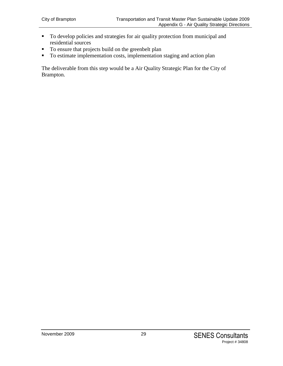- To develop policies and strategies for air quality protection from municipal and residential sources
- To ensure that projects build on the greenbelt plan
- To estimate implementation costs, implementation staging and action plan

The deliverable from this step would be a Air Quality Strategic Plan for the City of Brampton.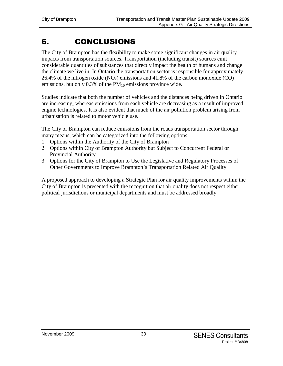# 6. CONCLUSIONS

The City of Brampton has the flexibility to make some significant changes in air quality impacts from transportation sources. Transportation (including transit) sources emit considerable quantities of substances that directly impact the health of humans and change the climate we live in. In Ontario the transportation sector is responsible for approximately 26.4% of the nitrogen oxide  $(NO_x)$  emissions and 41.8% of the carbon monoxide  $(CO)$ emissions, but only  $0.3\%$  of the  $PM_{10}$  emissions province wide.

Studies indicate that both the number of vehicles and the distances being driven in Ontario are increasing, whereas emissions from each vehicle are decreasing as a result of improved engine technologies. It is also evident that much of the air pollution problem arising from urbanisation is related to motor vehicle use.

The City of Brampton can reduce emissions from the roads transportation sector through many means, which can be categorized into the following options:

- 1. Options within the Authority of the City of Brampton
- 2. Options within City of Brampton Authority but Subject to Concurrent Federal or Provincial Authority
- 3. Options for the City of Brampton to Use the Legislative and Regulatory Processes of Other Governments to Improve Brampton's Transportation Related Air Quality

A proposed approach to developing a Strategic Plan for air quality improvements within the City of Brampton is presented with the recognition that air quality does not respect either political jurisdictions or municipal departments and must be addressed broadly.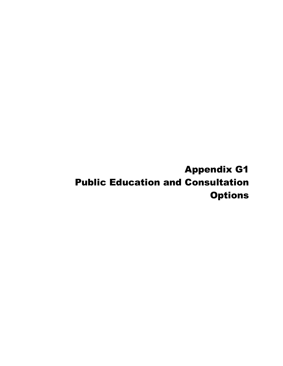Appendix G1 Public Education and Consultation **Options**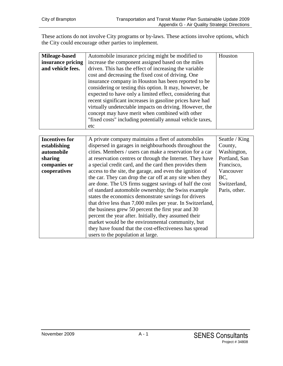These actions do not involve City programs or by-laws. These actions involve options, which the City could encourage other parties to implement.

| Mileage-based     | Automobile insurance pricing might be modified to         | Houston |
|-------------------|-----------------------------------------------------------|---------|
| insurance pricing | increase the component assigned based on the miles        |         |
| and vehicle fees. | driven. This has the effect of increasing the variable    |         |
|                   | cost and decreasing the fixed cost of driving. One        |         |
|                   | insurance company in Houston has been reported to be      |         |
|                   | considering or testing this option. It may, however, be   |         |
|                   | expected to have only a limited effect, considering that  |         |
|                   | recent significant increases in gasoline prices have had  |         |
|                   | virtually undetectable impacts on driving. However, the   |         |
|                   | concept may have merit when combined with other           |         |
|                   | "fixed costs" including potentially annual vehicle taxes, |         |
|                   | etc                                                       |         |

| <b>Incentives for</b> | A private company maintains a fleet of automobiles         | Seattle / King |
|-----------------------|------------------------------------------------------------|----------------|
| establishing          | dispersed in garages in neighbourhoods throughout the      | County,        |
| automobile            | cities. Members / users can make a reservation for a car   | Washington,    |
| sharing               | at reservation centres or through the Internet. They have  | Portland, San  |
| companies or          | a special credit card, and the card then provides them     | Francisco,     |
| cooperatives          | access to the site, the garage, and even the ignition of   | Vancouver      |
|                       | the car. They can drop the car off at any site when they   | BC.            |
|                       | are done. The US firms suggest savings of half the cost    | Switzerland,   |
|                       | of standard automobile ownership; the Swiss example        | Paris, other.  |
|                       | states the economics demonstrate savings for drivers       |                |
|                       | that drive less than 7,000 miles per year. In Switzerland, |                |
|                       | the business grew 50 percent the first year and 30         |                |
|                       | percent the year after. Initially, they assumed their      |                |
|                       | market would be the environmental community, but           |                |
|                       | they have found that the cost-effectiveness has spread     |                |
|                       | users to the population at large.                          |                |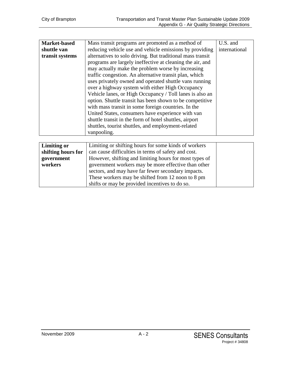| <b>Market-based</b> | Mass transit programs are promoted as a method of          | U.S. and      |
|---------------------|------------------------------------------------------------|---------------|
| shuttle van         | reducing vehicle use and vehicle emissions by providing    | international |
| transit systems     | alternatives to solo driving. But traditional mass transit |               |
|                     | programs are largely ineffective at cleaning the air, and  |               |
|                     | may actually make the problem worse by increasing          |               |
|                     | traffic congestion. An alternative transit plan, which     |               |
|                     | uses privately owned and operated shuttle vans running     |               |
|                     | over a highway system with either High Occupancy           |               |
|                     | Vehicle lanes, or High Occupancy / Toll lanes is also an   |               |
|                     | option. Shuttle transit has been shown to be competitive   |               |
|                     | with mass transit in some foreign countries. In the        |               |
|                     | United States, consumers have experience with van          |               |
|                     | shuttle transit in the form of hotel shuttles, airport     |               |
|                     | shuttles, tourist shuttles, and employment-related         |               |
|                     | vanpooling.                                                |               |
|                     |                                                            |               |

| <b>Limiting or</b> | Limiting or shifting hours for some kinds of workers   |  |
|--------------------|--------------------------------------------------------|--|
| shifting hours for | can cause difficulties in terms of safety and cost.    |  |
| government         | However, shifting and limiting hours for most types of |  |
| workers            | government workers may be more effective than other    |  |
|                    | sectors, and may have far fewer secondary impacts.     |  |
|                    | These workers may be shifted from 12 noon to 8 pm      |  |
|                    | shifts or may be provided incentives to do so.         |  |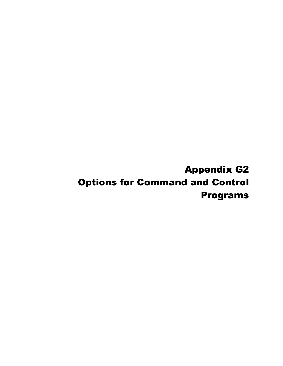Appendix G2 Options for Command and Control Programs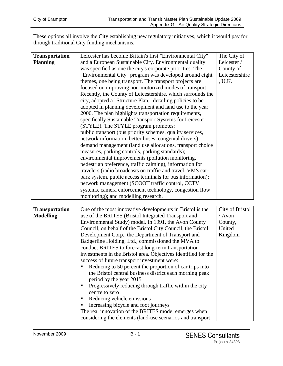These options all involve the City establishing new regulatory initiatives, which it would pay for through traditional City funding mechanisms.

| <b>Transportation</b> | Leicester has become Britain's first "Environmental City"   | The City of    |
|-----------------------|-------------------------------------------------------------|----------------|
| <b>Planning</b>       | and a European Sustainable City. Environmental quality      | Leicester/     |
|                       | was specified as one the city's corporate priorities. The   | County of      |
|                       | "Environmental City" program was developed around eight     | Leicestershire |
|                       | themes, one being transport. The transport projects are     | , U.K.         |
|                       | focused on improving non-motorized modes of transport.      |                |
|                       | Recently, the County of Leicestershire, which surrounds the |                |
|                       | city, adopted a "Structure Plan," detailing policies to be  |                |
|                       | adopted in planning development and land use to the year    |                |
|                       | 2006. The plan highlights transportation requirements,      |                |
|                       | specifically Sustainable Transport Systems for Leicester    |                |
|                       | (STYLE). The STYLE program promotes:                        |                |
|                       | public transport (bus priority schemes, quality services,   |                |
|                       | network information, better buses, congenial drivers);      |                |
|                       | demand management (land use allocations, transport choice   |                |
|                       | measures, parking controls, parking standards);             |                |
|                       | environmental improvements (pollution monitoring,           |                |
|                       | pedestrian preference, traffic calming), information for    |                |
|                       | travelers (radio broadcasts on traffic and travel, VMS car- |                |
|                       | park system, public access terminals for bus information);  |                |
|                       | network management (SCOOT traffic control, CCTV             |                |
|                       | systems, camera enforcement technology, congestion flow     |                |
|                       | monitoring); and modelling research.                        |                |

| <b>Transportation</b> | One of the most innovative developments in Bristol is the      | City of Bristol |
|-----------------------|----------------------------------------------------------------|-----------------|
| <b>Modelling</b>      | use of the BRITES (Bristol Integrated Transport and            | / Avon          |
|                       | Environmental Study) model. In 1991, the Avon County           | County,         |
|                       | Council, on behalf of the Bristol City Council, the Bristol    | United          |
|                       | Development Corp., the Department of Transport and             | Kingdom         |
|                       | Badgerline Holding, Ltd., commissioned the MVA to              |                 |
|                       | conduct BRITES to forecast long-term transportation            |                 |
|                       | investments in the Bristol area. Objectives identified for the |                 |
|                       | success of future transport investment were:                   |                 |
|                       | Reducing to 50 percent the proportion of car trips into        |                 |
|                       | the Bristol central business district each morning peak        |                 |
|                       | period by the year 2015                                        |                 |
|                       | Progressively reducing through traffic within the city         |                 |
|                       | centre to zero                                                 |                 |
|                       | Reducing vehicle emissions                                     |                 |
|                       | Increasing bicycle and foot journeys                           |                 |
|                       | The real innovation of the BRITES model emerges when           |                 |
|                       | considering the elements (land-use scenarios and transport     |                 |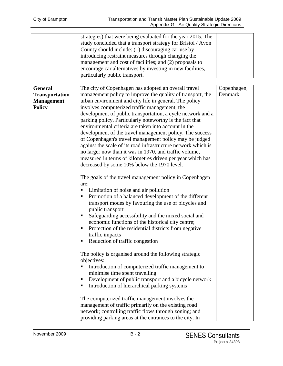| strategies) that were being evaluated for the year 2015. The |  |
|--------------------------------------------------------------|--|
| study concluded that a transport strategy for Bristol / Avon |  |
| County should include: (1) discouraging car use by           |  |
| introducing restraint measures through changing the          |  |
| management and cost of facilities; and (2) proposals to      |  |
| encourage car alternatives by investing in new facilities,   |  |
| particularly public transport.                               |  |

| <b>General</b>        | The city of Copenhagen has adopted an overall travel          | Copenhagen, |
|-----------------------|---------------------------------------------------------------|-------------|
| <b>Transportation</b> | management policy to improve the quality of transport, the    | Denmark     |
| <b>Management</b>     | urban environment and city life in general. The policy        |             |
| <b>Policy</b>         | involves computerized traffic management, the                 |             |
|                       | development of public transportation, a cycle network and a   |             |
|                       | parking policy. Particularly noteworthy is the fact that      |             |
|                       | environmental criteria are taken into account in the          |             |
|                       | development of the travel management policy. The success      |             |
|                       | of Copenhagen's travel management policy may be judged        |             |
|                       | against the scale of its road infrastructure network which is |             |
|                       | no larger now than it was in 1970, and traffic volume,        |             |
|                       | measured in terms of kilometres driven per year which has     |             |
|                       | decreased by some 10% below the 1970 level.                   |             |
|                       |                                                               |             |
|                       | The goals of the travel management policy in Copenhagen       |             |
|                       | are:                                                          |             |
|                       | Limitation of noise and air pollution<br>п                    |             |
|                       | Promotion of a balanced development of the different<br>п     |             |
|                       | transport modes by favouring the use of bicycles and          |             |
|                       | public transport                                              |             |
|                       | Safeguarding accessibility and the mixed social and<br>п      |             |
|                       | economic functions of the historical city centre;             |             |
|                       | Protection of the residential districts from negative<br>п    |             |
|                       | traffic impacts<br>Reduction of traffic congestion<br>п       |             |
|                       |                                                               |             |
|                       | The policy is organised around the following strategic        |             |
|                       | objectives:                                                   |             |
|                       | Introduction of computerized traffic management to<br>п       |             |
|                       | minimise time spent travelling                                |             |
|                       | Development of public transport and a bicycle network<br>п    |             |
|                       | Introduction of hierarchical parking systems<br>Е             |             |
|                       |                                                               |             |
|                       | The computerized traffic management involves the              |             |
|                       | management of traffic primarily on the existing road          |             |
|                       | network; controlling traffic flows through zoning; and        |             |
|                       | providing parking areas at the entrances to the city. In      |             |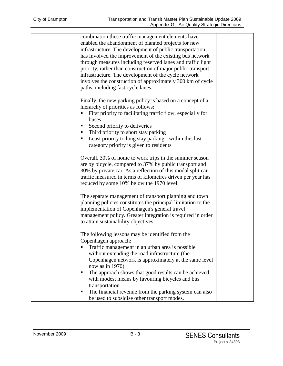| combination these traffic management elements have<br>enabled the abandonment of planned projects for new<br>infrastructure. The development of public transportation<br>has involved the improvement of the existing bus network<br>through measures including reserved lanes and traffic light<br>priority, rather than construction of major public transport<br>infrastructure. The development of the cycle network<br>involves the construction of approximately 300 km of cycle<br>paths, including fast cycle lanes. |  |
|------------------------------------------------------------------------------------------------------------------------------------------------------------------------------------------------------------------------------------------------------------------------------------------------------------------------------------------------------------------------------------------------------------------------------------------------------------------------------------------------------------------------------|--|
| Finally, the new parking policy is based on a concept of a<br>hierarchy of priorities as follows:<br>First priority to facilitating traffic flow, especially for<br>buses<br>Second priority to deliveries<br>Third priority to short stay parking<br>Least priority to long stay parking - within this last<br>п<br>category priority is given to residents                                                                                                                                                                 |  |
| Overall, 30% of home to work trips in the summer season<br>are by bicycle, compared to 37% by public transport and<br>30% by private car. As a reflection of this modal split car<br>traffic measured in terms of kilometres driven per year has<br>reduced by some 10% below the 1970 level.                                                                                                                                                                                                                                |  |
| The separate management of transport planning and town<br>planning policies constitutes the principal limitation to the<br>implementation of Copenhagen's general travel<br>management policy. Greater integration is required in order<br>to attain sustainability objectives.                                                                                                                                                                                                                                              |  |
| The following lessons may be identified from the<br>Copenhagen approach:<br>Traffic management in an urban area is possible<br>without extending the road infrastructure (the<br>Copenhagen network is approximately at the same level<br>now as in 1970).<br>The approach shows that good results can be achieved                                                                                                                                                                                                           |  |
| with modest means by favouring bicycles and bus<br>transportation.<br>The financial revenue from the parking system can also<br>п<br>be used to subsidise other transport modes.                                                                                                                                                                                                                                                                                                                                             |  |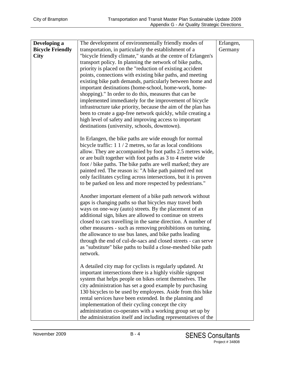| Developing a<br><b>Bicycle Friendly</b><br><b>City</b> | The development of environmentally friendly modes of<br>transportation, in particularly the establishment of a<br>"bicycle friendly climate," stands at the centre of Erlangen's<br>transport policy. In planning the network of bike paths,<br>priority is placed on the "reduction of existing accident"<br>points, connections with existing bike paths, and meeting<br>existing bike path demands, particularly between home and<br>important destinations (home-school, home-work, home-<br>shopping)." In order to do this, measures that can be<br>implemented immediately for the improvement of bicycle<br>infrastructure take priority, because the aim of the plan has<br>been to create a gap-free network quickly, while creating a<br>high level of safety and improving access to important<br>destinations (university, schools, downtown). | Erlangen,<br>Germany |
|--------------------------------------------------------|-------------------------------------------------------------------------------------------------------------------------------------------------------------------------------------------------------------------------------------------------------------------------------------------------------------------------------------------------------------------------------------------------------------------------------------------------------------------------------------------------------------------------------------------------------------------------------------------------------------------------------------------------------------------------------------------------------------------------------------------------------------------------------------------------------------------------------------------------------------|----------------------|
|                                                        | In Erlangen, the bike paths are wide enough for normal<br>bicycle traffic: $1 \frac{1}{2}$ metres, so far as local conditions<br>allow. They are accompanied by foot paths 2.5 metres wide,<br>or are built together with foot paths as 3 to 4 metre wide<br>foot / bike paths. The bike paths are well marked; they are<br>painted red. The reason is: "A bike path painted red not<br>only facilitates cycling across intersections, but it is proven<br>to be parked on less and more respected by pedestrians."                                                                                                                                                                                                                                                                                                                                         |                      |
|                                                        | Another important element of a bike path network without<br>gaps is changing paths so that bicycles may travel both<br>ways on one-way (auto) streets. By the placement of an<br>additional sign, bikes are allowed to continue on streets<br>closed to cars travelling in the same direction. A number of<br>other measures - such as removing prohibitions on turning,<br>the allowance to use bus lanes, and bike paths leading<br>through the end of cul-de-sacs and closed streets - can serve<br>as "substitute" bike paths to build a close-meshed bike path<br>network.                                                                                                                                                                                                                                                                             |                      |
|                                                        | A detailed city map for cyclists is regularly updated. At<br>important intersections there is a highly visible signpost<br>system that helps people on bikes orient themselves. The<br>city administration has set a good example by purchasing<br>130 bicycles to be used by employees. Aside from this bike<br>rental services have been extended. In the planning and<br>implementation of their cycling concept the city<br>administration co-operates with a working group set up by<br>the administration itself and including representatives of the                                                                                                                                                                                                                                                                                                 |                      |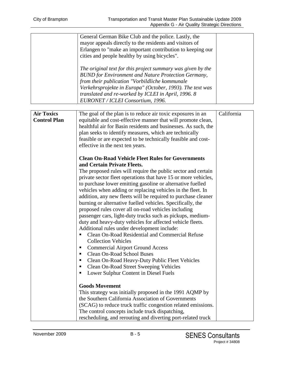|                                          | General German Bike Club and the police. Lastly, the<br>mayor appeals directly to the residents and visitors of<br>Erlangen to "make an important contribution to keeping our<br>cities and people healthy by using bicycles".<br>The original text for this project summary was given by the<br><b>BUND</b> for Environment and Nature Protection Germany,<br>from their publication "Vorbildliche kommunale<br>Verkehrsprojekte in Europa" (October, 1993). The text was<br>translated and re-worked by ICLEI in April, 1996. 8<br>EURONET / ICLEI Consortium, 1996.                                                                                                                                                                                                                                                                                                                                                                                                                                                                                                                                                                                                                                                                                                                                                                                                                                                                                                                                                                                                                                                                                                                                                                               |            |
|------------------------------------------|------------------------------------------------------------------------------------------------------------------------------------------------------------------------------------------------------------------------------------------------------------------------------------------------------------------------------------------------------------------------------------------------------------------------------------------------------------------------------------------------------------------------------------------------------------------------------------------------------------------------------------------------------------------------------------------------------------------------------------------------------------------------------------------------------------------------------------------------------------------------------------------------------------------------------------------------------------------------------------------------------------------------------------------------------------------------------------------------------------------------------------------------------------------------------------------------------------------------------------------------------------------------------------------------------------------------------------------------------------------------------------------------------------------------------------------------------------------------------------------------------------------------------------------------------------------------------------------------------------------------------------------------------------------------------------------------------------------------------------------------------|------------|
| <b>Air Toxics</b><br><b>Control Plan</b> | The goal of the plan is to reduce air toxic exposures in an<br>equitable and cost-effective manner that will promote clean,<br>healthful air for Basin residents and businesses. As such, the<br>plan seeks to identify measures, which are technically<br>feasible or are expected to be technically feasible and cost-<br>effective in the next ten years.<br><b>Clean On-Road Vehicle Fleet Rules for Governments</b><br>and Certain Private Fleets.<br>The proposed rules will require the public sector and certain<br>private sector fleet operations that have 15 or more vehicles,<br>to purchase lower emitting gasoline or alternative fuelled<br>vehicles when adding or replacing vehicles in the fleet. In<br>addition, any new fleets will be required to purchase cleaner<br>burning or alternative fuelled vehicles. Specifically, the<br>proposed rules cover all on-road vehicles including<br>passenger cars, light-duty trucks such as pickups, medium-<br>duty and heavy-duty vehicles for affected vehicle fleets.<br>Additional rules under development include:<br>Clean On-Road Residential and Commercial Refuse<br><b>Collection Vehicles</b><br><b>Commercial Airport Ground Access</b><br>п<br><b>Clean On-Road School Buses</b><br>п<br>Clean On-Road Heavy-Duty Public Fleet Vehicles<br>п<br>Clean On-Road Street Sweeping Vehicles<br>٠<br>Lower Sulphur Content in Diesel Fuels<br>٠<br><b>Goods Movement</b><br>This strategy was initially proposed in the 1991 AQMP by<br>the Southern California Association of Governments<br>(SCAG) to reduce truck traffic congestion related emissions.<br>The control concepts include truck dispatching,<br>rescheduling, and rerouting and diverting port-related truck | California |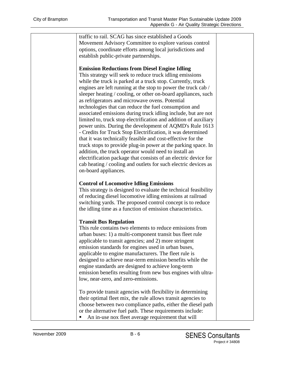traffic to rail. SCAG has since established a Goods Movement Advisory Committee to explore various control options, coordinate efforts among local jurisdictions and establish public-private partnerships.

#### **Emission Reductions from Diesel Engine Idling**

This strategy will seek to reduce truck idling emissions while the truck is parked at a truck stop. Currently, truck engines are left running at the stop to power the truck cab / sleeper heating / cooling, or other on-board appliances, such as refrigerators and microwave ovens. Potential technologies that can reduce the fuel consumption and associated emissions during truck idling include, but are not limited to, truck stop electrification and addition of auxiliary power units. During the development of AQMD's Rule 1613 - Credits for Truck Stop Electrification, it was determined that it was technically feasible and cost-effective for the truck stops to provide plug-in power at the parking space. In addition, the truck operator would need to install an electrification package that consists of an electric device for cab heating / cooling and outlets for such electric devices as on-board appliances.

#### **Control of Locomotive Idling Emissions**

This strategy is designed to evaluate the technical feasibility of reducing diesel locomotive idling emissions at railroad switching yards. The proposed control concept is to reduce the idling time as a function of emission characteristics.

#### **Transit Bus Regulation**

This rule contains two elements to reduce emissions from urban buses: 1) a multi-component transit bus fleet rule applicable to transit agencies; and 2) more stringent emission standards for engines used in urban buses, applicable to engine manufacturers. The fleet rule is designed to achieve near-term emission benefits while the engine standards are designed to achieve long-term emission benefits resulting from new bus engines with ultralow, near-zero, and zero-emissions.

To provide transit agencies with flexibility in determining their optimal fleet mix, the rule allows transit agencies to choose between two compliance paths, either the diesel path or the alternative fuel path. These requirements include: An in-use nox fleet average requirement that will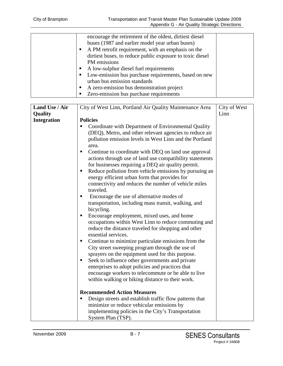| encourage the retirement of the oldest, dirtiest diesel   |  |
|-----------------------------------------------------------|--|
| buses (1987 and earlier model year urban buses)           |  |
| A PM retrofit requirement, with an emphasis on the        |  |
| dirtiest buses, to reduce public exposure to toxic diesel |  |
| PM emissions                                              |  |
| A low-sulphur diesel fuel requirements                    |  |
| Low-emission bus purchase requirements, based on new      |  |
| urban bus emission standards                              |  |
| A zero-emission bus demonstration project                 |  |
| Zero-emission bus purchase requirements                   |  |
|                                                           |  |

| Land Use / Air                | City of West Linn, Portland Air Quality Maintenance Area                                                                                                                                                                                                                                                                                                                                                                                                                                                                                                                                                                                                                                                                                                                                                                                                                                                                                                                                                                                                                                                                                                                                                                                                                                                                                             | City of West |
|-------------------------------|------------------------------------------------------------------------------------------------------------------------------------------------------------------------------------------------------------------------------------------------------------------------------------------------------------------------------------------------------------------------------------------------------------------------------------------------------------------------------------------------------------------------------------------------------------------------------------------------------------------------------------------------------------------------------------------------------------------------------------------------------------------------------------------------------------------------------------------------------------------------------------------------------------------------------------------------------------------------------------------------------------------------------------------------------------------------------------------------------------------------------------------------------------------------------------------------------------------------------------------------------------------------------------------------------------------------------------------------------|--------------|
|                               |                                                                                                                                                                                                                                                                                                                                                                                                                                                                                                                                                                                                                                                                                                                                                                                                                                                                                                                                                                                                                                                                                                                                                                                                                                                                                                                                                      |              |
|                               |                                                                                                                                                                                                                                                                                                                                                                                                                                                                                                                                                                                                                                                                                                                                                                                                                                                                                                                                                                                                                                                                                                                                                                                                                                                                                                                                                      |              |
| Quality<br><b>Integration</b> | <b>Policies</b><br>Coordinate with Department of Environmental Quality<br>п<br>(DEQ), Metro, and other relevant agencies to reduce air<br>pollution emission levels in West Linn and the Portland<br>area.<br>Continue to coordinate with DEQ on land use approval<br>п<br>actions through use of land use compatibility statements<br>for businesses requiring a DEQ air quality permit.<br>Reduce pollution from vehicle emissions by pursuing an<br>$\blacksquare$<br>energy efficient urban form that provides for<br>connectivity and reduces the number of vehicle miles<br>traveled.<br>Encourage the use of alternative modes of<br>п<br>transportation, including mass transit, walking, and<br>bicycling.<br>Encourage employment, mixed uses, and home<br>occupations within West Linn to reduce commuting and<br>reduce the distance traveled for shopping and other<br>essential services.<br>Continue to minimize particulate emissions from the<br>п<br>City street sweeping program through the use of<br>sprayers on the equipment used for this purpose.<br>Seek to influence other governments and private<br>$\blacksquare$<br>enterprises to adopt policies and practices that<br>encourage workers to telecommute or be able to live<br>within walking or biking distance to their work.<br><b>Recommended Action Measures</b> | Linn         |
|                               | Design streets and establish traffic flow patterns that                                                                                                                                                                                                                                                                                                                                                                                                                                                                                                                                                                                                                                                                                                                                                                                                                                                                                                                                                                                                                                                                                                                                                                                                                                                                                              |              |
|                               | minimize or reduce vehicular emissions by                                                                                                                                                                                                                                                                                                                                                                                                                                                                                                                                                                                                                                                                                                                                                                                                                                                                                                                                                                                                                                                                                                                                                                                                                                                                                                            |              |
|                               |                                                                                                                                                                                                                                                                                                                                                                                                                                                                                                                                                                                                                                                                                                                                                                                                                                                                                                                                                                                                                                                                                                                                                                                                                                                                                                                                                      |              |
|                               | System Plan (TSP).                                                                                                                                                                                                                                                                                                                                                                                                                                                                                                                                                                                                                                                                                                                                                                                                                                                                                                                                                                                                                                                                                                                                                                                                                                                                                                                                   |              |
|                               | implementing policies in the City's Transportation                                                                                                                                                                                                                                                                                                                                                                                                                                                                                                                                                                                                                                                                                                                                                                                                                                                                                                                                                                                                                                                                                                                                                                                                                                                                                                   |              |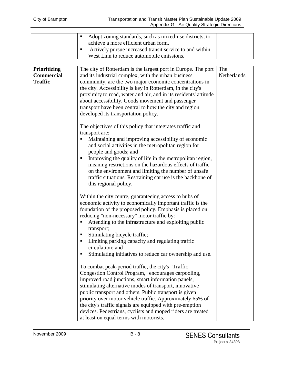| Adopt zoning standards, such as mixed-use districts, to<br>achieve a more efficient urban form.<br>Actively pursue increased transit service to and within<br>West Linn to reduce automobile emissions. |
|---------------------------------------------------------------------------------------------------------------------------------------------------------------------------------------------------------|
|                                                                                                                                                                                                         |

| Prioritizing      | The city of Rotterdam is the largest port in Europe. The port    | The         |
|-------------------|------------------------------------------------------------------|-------------|
| <b>Commercial</b> | and its industrial complex, with the urban business              | Netherlands |
| <b>Traffic</b>    | community, are the two major economic concentrations in          |             |
|                   | the city. Accessibility is key in Rotterdam, in the city's       |             |
|                   | proximity to road, water and air, and in its residents' attitude |             |
|                   | about accessibility. Goods movement and passenger                |             |
|                   | transport have been central to how the city and region           |             |
|                   | developed its transportation policy.                             |             |
|                   | The objectives of this policy that integrates traffic and        |             |
|                   | transport are:                                                   |             |
|                   | Maintaining and improving accessibility of economic              |             |
|                   | and social activities in the metropolitan region for             |             |
|                   | people and goods; and                                            |             |
|                   | Improving the quality of life in the metropolitan region,        |             |
|                   | meaning restrictions on the hazardous effects of traffic         |             |
|                   | on the environment and limiting the number of unsafe             |             |
|                   | traffic situations. Restraining car use is the backbone of       |             |
|                   | this regional policy.                                            |             |
|                   |                                                                  |             |
|                   | Within the city centre, guaranteeing access to hubs of           |             |
|                   | economic activity to economically important traffic is the       |             |
|                   | foundation of the proposed policy. Emphasis is placed on         |             |
|                   | reducing "non-necessary" motor traffic by:                       |             |
|                   | Attending to the infrastructure and exploiting public            |             |
|                   | transport;                                                       |             |
|                   | Stimulating bicycle traffic;                                     |             |
|                   | Limiting parking capacity and regulating traffic<br>п            |             |
|                   | circulation; and                                                 |             |
|                   | Stimulating initiatives to reduce car ownership and use.         |             |
|                   | To combat peak-period traffic, the city's "Traffic               |             |
|                   | Congestion Control Program," encourages carpooling,              |             |
|                   | improved road junctions, smart information panels,               |             |
|                   | stimulating alternative modes of transport, innovative           |             |
|                   | public transport and others. Public transport is given           |             |
|                   | priority over motor vehicle traffic. Approximately 65% of        |             |
|                   | the city's traffic signals are equipped with pre-emption         |             |
|                   | devices. Pedestrians, cyclists and moped riders are treated      |             |
|                   | at least on equal terms with motorists.                          |             |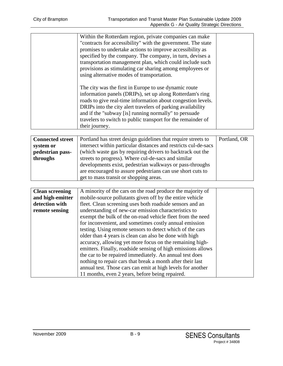| Within the Rotterdam region, private companies can make<br>"contracts for accessibility" with the government. The state<br>promises to undertake actions to improve accessibility as<br>specified by the company. The company, in turn, devises a<br>transportation management plan, which could include such<br>provisions as stimulating car sharing among employees or<br>using alternative modes of transportation. |  |
|-------------------------------------------------------------------------------------------------------------------------------------------------------------------------------------------------------------------------------------------------------------------------------------------------------------------------------------------------------------------------------------------------------------------------|--|
| The city was the first in Europe to use dynamic route<br>information panels (DRIPs), set up along Rotterdam's ring<br>roads to give real-time information about congestion levels.<br>DRIPs into the city alert travelers of parking availability<br>and if the "subway [is] running normally" to persuade<br>travelers to switch to public transport for the remainder of<br>their journey.                            |  |

| <b>Connected street</b> | Portland has street design guidelines that require streets to   | Portland, OR |
|-------------------------|-----------------------------------------------------------------|--------------|
| system or               | intersect within particular distances and restricts cul-de-sacs |              |
| pedestrian pass-        | (which waste gas by requiring drivers to backtrack out the      |              |
| throughs                | streets to progress). Where cul-de-sacs and similar             |              |
|                         | developments exist, pedestrian walkways or pass-throughs        |              |
|                         | are encouraged to assure pedestrians can use short cuts to      |              |
|                         | get to mass transit or shopping areas.                          |              |

| <b>Clean screening</b> | A minority of the cars on the road produce the majority of   |  |
|------------------------|--------------------------------------------------------------|--|
| and high-emitter       | mobile-source pollutants given off by the entire vehicle     |  |
| detection with         | fleet. Clean screening uses both roadside sensors and an     |  |
| remote sensing         | understanding of new-car emission characteristics to         |  |
|                        | exempt the bulk of the on-road vehicle fleet from the need   |  |
|                        | for inconvenient, and sometimes costly annual emission       |  |
|                        | testing. Using remote sensors to detect which of the cars    |  |
|                        | older than 4 years is clean can also be done with high       |  |
|                        | accuracy, allowing yet more focus on the remaining high-     |  |
|                        | emitters. Finally, roadside sensing of high emissions allows |  |
|                        | the car to be repaired immediately. An annual test does      |  |
|                        | nothing to repair cars that break a month after their last   |  |
|                        | annual test. Those cars can emit at high levels for another  |  |
|                        | 11 months, even 2 years, before being repaired.              |  |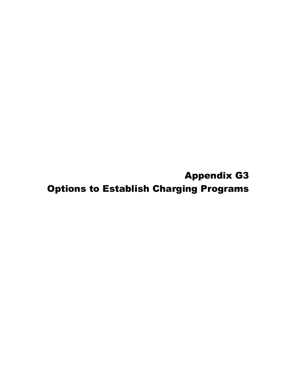Appendix G3 Options to Establish Charging Programs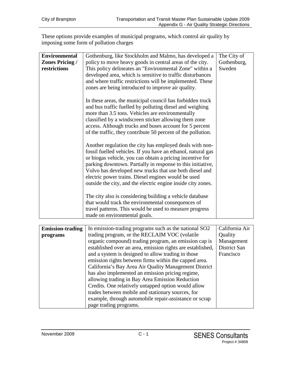These options provide examples of municipal programs, which control air quality by imposing some form of pollution charges

| <b>Environmental</b>    | Gothenburg, like Stockholm and Malmo, has developed a        | The City of    |
|-------------------------|--------------------------------------------------------------|----------------|
| <b>Zones Pricing /</b>  | policy to move heavy goods in central areas of the city.     | Gothenburg,    |
| restrictions            | This policy delineates an "Environmental Zone" within a      | Sweden         |
|                         | developed area, which is sensitive to traffic disturbances   |                |
|                         |                                                              |                |
|                         | and where traffic restrictions will be implemented. These    |                |
|                         | zones are being introduced to improve air quality.           |                |
|                         | In these areas, the municipal council has forbidden truck    |                |
|                         | and bus traffic fuelled by polluting diesel and weighing     |                |
|                         | more than 3.5 tons. Vehicles are environmentally             |                |
|                         | classified by a windscreen sticker allowing them zone        |                |
|                         | access. Although trucks and buses account for 5 percent      |                |
|                         | of the traffic, they contribute 50 percent of the pollution. |                |
|                         |                                                              |                |
|                         | Another regulation the city has employed deals with non-     |                |
|                         | fossil fuelled vehicles. If you have an ethanol, natural gas |                |
|                         | or biogas vehicle, you can obtain a pricing incentive for    |                |
|                         | parking downtown. Partially in response to this initiative,  |                |
|                         | Volvo has developed new trucks that use both diesel and      |                |
|                         | electric power trains. Diesel engines would be used          |                |
|                         | outside the city, and the electric engine inside city zones. |                |
|                         |                                                              |                |
|                         | The city also is considering building a vehicle database     |                |
|                         | that would track the environmental consequences of           |                |
|                         | travel patterns. This would be used to measure progress      |                |
|                         | made on environmental goals.                                 |                |
|                         |                                                              |                |
| <b>Emission-trading</b> | In emission-trading programs such as the national SO2        | California Air |
| programs                | trading program, or the RECLAIM VOC (volatile                | Quality        |
|                         | organic compound) trading program, an emission cap is        | Management     |
|                         | established over an area, emission rights are established,   | District San   |
|                         | and a system is designed to allow trading in those           | Francisco      |
|                         | emission rights between firms within the capped area.        |                |
|                         | California's Bay Area Air Quality Management District        |                |

| California's Bay Area Air Quality Management District  |  |
|--------------------------------------------------------|--|
| has also implemented an emission pricing regime,       |  |
| allowing trading in Bay Area Emission Reduction        |  |
| Credits. One relatively untapped option would allow    |  |
| trades between mobile and stationary sources, for      |  |
| example, through automobile repair-assistance or scrap |  |
| page trading programs.                                 |  |
|                                                        |  |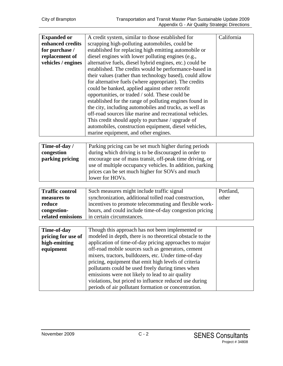| <b>Expanded or</b> | A credit system, similar to those established for        | California |
|--------------------|----------------------------------------------------------|------------|
| enhanced credits   | scrapping high-polluting automobiles, could be           |            |
| for purchase /     | established for replacing high emitting automobile or    |            |
| replacement of     | diesel engines with lower polluting engines (e.g.,       |            |
| vehicles / engines | alternative fuels, diesel hybrid engines, etc.) could be |            |
|                    | established. The credits would be performance-based in   |            |
|                    | their values (rather than technology based), could allow |            |
|                    | for alternative fuels (where appropriate). The credits   |            |
|                    | could be banked, applied against other retrofit          |            |
|                    | opportunities, or traded / sold. These could be          |            |
|                    | established for the range of polluting engines found in  |            |
|                    | the city, including automobiles and trucks, as well as   |            |
|                    | off-road sources like marine and recreational vehicles.  |            |
|                    | This credit should apply to purchase / upgrade of        |            |
|                    | automobiles, construction equipment, diesel vehicles,    |            |
|                    | marine equipment, and other engines.                     |            |
|                    |                                                          |            |

| Time-of-day /   | Parking pricing can be set much higher during periods    |  |
|-----------------|----------------------------------------------------------|--|
| congestion      | during which driving is to be discouraged in order to    |  |
| parking pricing | encourage use of mass transit, off-peak time driving, or |  |
|                 | use of multiple occupancy vehicles. In addition, parking |  |
|                 | prices can be set much higher for SOVs and much          |  |
|                 | lower for HOVs.                                          |  |

| <b>Traffic control</b> | Such measures might include traffic signal              | Portland, |
|------------------------|---------------------------------------------------------|-----------|
| measures to            | synchronization, additional tolled road construction,   | other     |
| reduce                 | incentives to promote telecommuting and flexible work-  |           |
| congestion-            | hours, and could include time-of-day congestion pricing |           |
| related emissions      | in certain circumstances.                               |           |

| Time-of-day        | Though this approach has not been implemented or          |
|--------------------|-----------------------------------------------------------|
| pricing for use of | modeled in depth, there is no theoretical obstacle to the |
| high-emitting      | application of time-of-day pricing approaches to major    |
| equipment          | off-road mobile sources such as generators, cement        |
|                    | mixers, tractors, bulldozers, etc. Under time-of-day      |
|                    | pricing, equipment that emit high levels of criteria      |
|                    | pollutants could be used freely during times when         |
|                    | emissions were not likely to lead to air quality          |
|                    | violations, but priced to influence reduced use during    |
|                    | periods of air pollutant formation or concentration.      |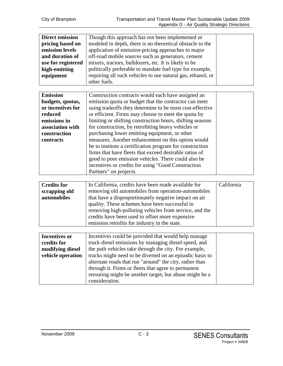| <b>Direct emission</b><br>pricing based on<br>emission levels<br>and duration of<br>use for registered<br>high-emitting<br>equipment | Though this approach has not been implemented or<br>modeled in depth, there is no theoretical obstacle to the<br>application of emission-pricing approaches to major<br>off-road mobile sources such as generators, cement<br>mixers, tractors, bulldozers, etc. It is likely to be<br>politically preferable to mandate fuel type for example,<br>requiring all such vehicles to use natural gas, ethanol, or<br>other fuels. |            |
|--------------------------------------------------------------------------------------------------------------------------------------|--------------------------------------------------------------------------------------------------------------------------------------------------------------------------------------------------------------------------------------------------------------------------------------------------------------------------------------------------------------------------------------------------------------------------------|------------|
| <b>Emission</b>                                                                                                                      | Construction contracts would each have assigned an                                                                                                                                                                                                                                                                                                                                                                             |            |
| budgets, quotas,                                                                                                                     | emission quota or budget that the contractor can meet                                                                                                                                                                                                                                                                                                                                                                          |            |
| or incentives for                                                                                                                    | using tradeoffs they determine to be most cost-effective                                                                                                                                                                                                                                                                                                                                                                       |            |
| reduced                                                                                                                              | or efficient. Firms may choose to meet the quota by                                                                                                                                                                                                                                                                                                                                                                            |            |
| emissions in                                                                                                                         | limiting or shifting construction hours, shifting seasons                                                                                                                                                                                                                                                                                                                                                                      |            |
| association with                                                                                                                     | for construction, by retrofitting heavy vehicles or                                                                                                                                                                                                                                                                                                                                                                            |            |
| construction                                                                                                                         | purchasing lower emitting equipment, or other                                                                                                                                                                                                                                                                                                                                                                                  |            |
| contracts                                                                                                                            | measures. Another enhancement on this option would                                                                                                                                                                                                                                                                                                                                                                             |            |
|                                                                                                                                      | be to institute a certification program for construction                                                                                                                                                                                                                                                                                                                                                                       |            |
|                                                                                                                                      | firms that have fleets that exceed desirable ratios of                                                                                                                                                                                                                                                                                                                                                                         |            |
|                                                                                                                                      | good to poor emission vehicles. There could also be                                                                                                                                                                                                                                                                                                                                                                            |            |
|                                                                                                                                      | incentives or credits for using "Good Construction<br>Partners" on projects.                                                                                                                                                                                                                                                                                                                                                   |            |
|                                                                                                                                      |                                                                                                                                                                                                                                                                                                                                                                                                                                |            |
| <b>Credits for</b>                                                                                                                   | In California, credits have been made available for                                                                                                                                                                                                                                                                                                                                                                            | California |
| scrapping old                                                                                                                        | removing old automobiles from operation-automobiles                                                                                                                                                                                                                                                                                                                                                                            |            |
| automobiles                                                                                                                          | that have a disproportionately negative impact on air                                                                                                                                                                                                                                                                                                                                                                          |            |
|                                                                                                                                      | quality. These schemes have been successful in                                                                                                                                                                                                                                                                                                                                                                                 |            |
|                                                                                                                                      | removing high-polluting vehicles from service, and the                                                                                                                                                                                                                                                                                                                                                                         |            |
|                                                                                                                                      | credits have been used to offset more expensive                                                                                                                                                                                                                                                                                                                                                                                |            |
|                                                                                                                                      | emission retrofits for industry in the state.                                                                                                                                                                                                                                                                                                                                                                                  |            |
|                                                                                                                                      |                                                                                                                                                                                                                                                                                                                                                                                                                                |            |
| <b>Incentives or</b>                                                                                                                 | Incentives could be provided that would help manage                                                                                                                                                                                                                                                                                                                                                                            |            |
| credits for                                                                                                                          | truck diesel emissions by managing diesel speed, and                                                                                                                                                                                                                                                                                                                                                                           |            |
| modifying diesel                                                                                                                     | the path vehicles take through the city. For example,                                                                                                                                                                                                                                                                                                                                                                          |            |
| vehicle operation                                                                                                                    | trucks might need to be diverted on an episodic basis to                                                                                                                                                                                                                                                                                                                                                                       |            |
|                                                                                                                                      | alternate roads that run "around" the city, rather than                                                                                                                                                                                                                                                                                                                                                                        |            |
|                                                                                                                                      | through it. Firms or fleets that agree to permanent                                                                                                                                                                                                                                                                                                                                                                            |            |
|                                                                                                                                      | rerouting might be another target, but abuse might be a<br>consideration.                                                                                                                                                                                                                                                                                                                                                      |            |
|                                                                                                                                      |                                                                                                                                                                                                                                                                                                                                                                                                                                |            |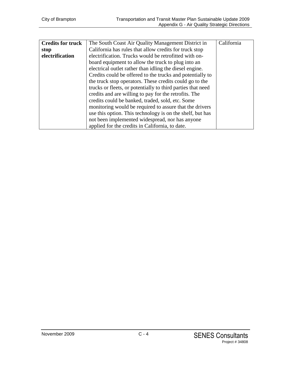| <b>Credits for truck</b> | The South Coast Air Quality Management District in          | California |
|--------------------------|-------------------------------------------------------------|------------|
| stop                     | California has rules that allow credits for truck stop      |            |
| electrification          | electrification. Trucks would be retrofitted with on-       |            |
|                          | board equipment to allow the truck to plug into an          |            |
|                          | electrical outlet rather than idling the diesel engine.     |            |
|                          | Credits could be offered to the trucks and potentially to   |            |
|                          | the truck stop operators. These credits could go to the     |            |
|                          | trucks or fleets, or potentially to third parties that need |            |
|                          | credits and are willing to pay for the retrofits. The       |            |
|                          | credits could be banked, traded, sold, etc. Some            |            |
|                          | monitoring would be required to assure that the drivers     |            |
|                          | use this option. This technology is on the shelf, but has   |            |
|                          | not been implemented widespread, nor has anyone             |            |
|                          | applied for the credits in California, to date.             |            |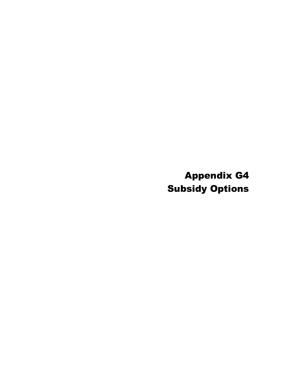Appendix G4 Subsidy Options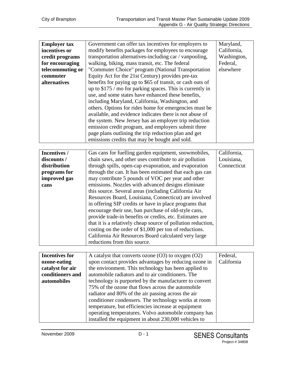| <b>Employer tax</b> | Government can offer tax incentives for employers to       | Maryland,   |
|---------------------|------------------------------------------------------------|-------------|
| incentives or       | modify benefits packages for employees to encourage        | California, |
| credit programs     | transportation alternatives-including car / vanpooling,    | Washington, |
| for encouraging     | walking, biking, mass transit, etc. The federal            | Federal,    |
| telecommuting or    | "Commuter Choice" program (National Transportation         | elsewhere   |
| commuter            | Equity Act for the 21st Century) provides pre-tax          |             |
| <i>alternatives</i> | benefits for paying up to \$65 of transit, or cash outs of |             |
|                     | up to $$175 /$ mo for parking spaces. This is currently in |             |
|                     | use, and some states have enhanced these benefits,         |             |
|                     | including Maryland, California, Washington, and            |             |
|                     | others. Options for rides home for emergencies must be     |             |
|                     | available, and evidence indicates there is not abuse of    |             |
|                     | the system. New Jersey has an employer trip reduction      |             |
|                     | emission credit program, and employers submit three        |             |
|                     | page plans outlining the trip reduction plan and get       |             |
|                     | emissions credits that may be bought and sold.             |             |
|                     |                                                            |             |
| Incentives /        | Gas cans for fuelling garden equipment, snowmobiles,       | California, |

| Incentives / | Gas cans for fuelling garden equipment, snowmobiles,         | California, |
|--------------|--------------------------------------------------------------|-------------|
| discounts /  | chain saws, and other uses contribute to air pollution       | Louisiana,  |
| distribution | through spills, open-cap evaporation, and evaporation        | Connecticut |
| programs for | through the can. It has been estimated that each gas can     |             |
| improved gas | may contribute 5 pounds of VOC per year and other            |             |
| cans         | emissions. Nozzles with advanced designs eliminate           |             |
|              | this source. Several areas (including California Air         |             |
|              | Resources Board, Louisiana, Connecticut) are involved        |             |
|              | in offering SIP credits or have in place programs that       |             |
|              | encourage their use, ban purchase of old-style cans,         |             |
|              | provide trade-in benefits or credits, etc. Estimates are     |             |
|              | that it is a relatively cheap source of pollution reduction, |             |
|              | costing on the order of $$1,000$ per ton of reductions.      |             |
|              | California Air Resources Board calculated very large         |             |
|              | reductions from this source.                                 |             |

| <b>Incentives for</b> | A catalyst that converts ozone $(O3)$ to oxygen $(O2)$ | Federal,   |
|-----------------------|--------------------------------------------------------|------------|
| ozone-eating          | upon contact provides advantages by reducing ozone in  | California |
| catalyst for air      | the environment. This technology has been applied to   |            |
| conditioners and      | automobile radiators and to air conditioners. The      |            |
| automobiles           | technology is purported by the manufacturer to convert |            |
|                       | 75% of the ozone that flows across the automobile      |            |
|                       | radiator and 80% of the air passing across the air     |            |
|                       | conditioner condensers. The technology works at room   |            |
|                       | temperature, but efficiencies increase at equipment    |            |
|                       | operating temperatures. Volvo automobile company has   |            |
|                       | installed the equipment in about 230,000 vehicles to   |            |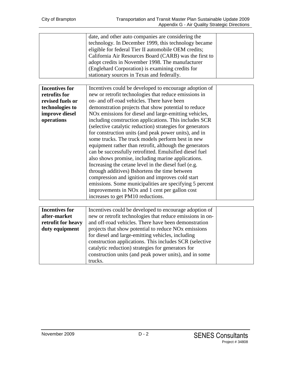| date, and other auto companies are considering the     |  |
|--------------------------------------------------------|--|
| technology. In December 1999, this technology became   |  |
| eligible for federal Tier II automobile OEM credits;   |  |
| California Air Resources Board (CARB) was the first to |  |
| adopt credits in November 1998. The manufacturer       |  |
| (Englehard Corporation) is examining credits for       |  |
| stationary sources in Texas and federally.             |  |

| <b>Incentives for</b> | Incentives could be developed to encourage adoption of            |  |
|-----------------------|-------------------------------------------------------------------|--|
| retrofits for         | new or retrofit technologies that reduce emissions in             |  |
| revised fuels or      | on- and off-road vehicles. There have been                        |  |
| technologies to       | demonstration projects that show potential to reduce              |  |
| improve diesel        | NO <sub>x</sub> emissions for diesel and large-emitting vehicles, |  |
| operations            | including construction applications. This includes SCR            |  |
|                       | (selective catalytic reduction) strategies for generators         |  |
|                       | for construction units (and peak power units), and in             |  |
|                       | some trucks. The truck models perform best in new                 |  |
|                       | equipment rather than retrofit, although the generators           |  |
|                       | can be successfully retrofitted. Emulsified diesel fuel           |  |
|                       | also shows promise, including marine applications.                |  |
|                       | Increasing the cetane level in the diesel fuel (e.g.              |  |
|                       | through additives) B shortens the time between                    |  |
|                       | compression and ignition and improves cold start                  |  |
|                       | emissions. Some municipalities are specifying 5 percent           |  |
|                       | improvements in NO <sub>x</sub> and 1 cent per gallon cost        |  |
|                       | increases to get PM10 reductions.                                 |  |

| <b>Incentives for</b> | Incentives could be developed to encourage adoption of           |  |
|-----------------------|------------------------------------------------------------------|--|
| after-market          | new or retrofit technologies that reduce emissions in on-        |  |
| retrofit for heavy    | and off-road vehicles. There have been demonstration             |  |
| duty equipment        | projects that show potential to reduce NO <sub>x</sub> emissions |  |
|                       | for diesel and large-emitting vehicles, including                |  |
|                       | construction applications. This includes SCR (selective          |  |
|                       | catalytic reduction) strategies for generators for               |  |
|                       | construction units (and peak power units), and in some           |  |
|                       | trucks.                                                          |  |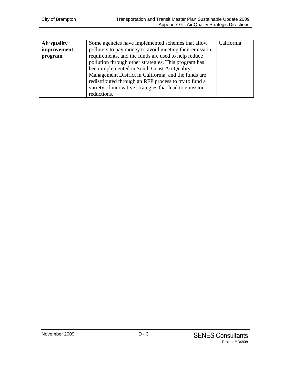| Air quality | Some agencies have implemented schemes that allow      | California |
|-------------|--------------------------------------------------------|------------|
| improvement | polluters to pay money to avoid meeting their emission |            |
| program     | requirements, and the funds are used to help reduce    |            |
|             | pollution through other strategies. This program has   |            |
|             | been implemented in South Coast Air Quality            |            |
|             | Management District in California, and the funds are   |            |
|             | redistributed through an RFP process to try to fund a  |            |
|             | variety of innovative strategies that lead to emission |            |
|             | reductions.                                            |            |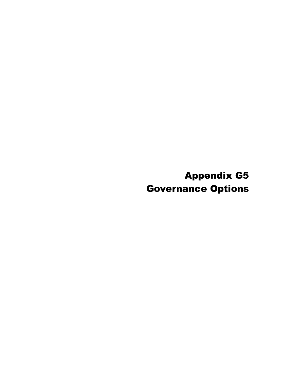Appendix G5 Governance Options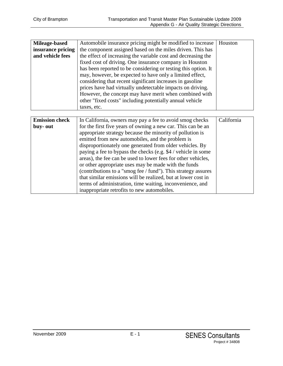| Mileage-based         | Automobile insurance pricing might be modified to increase     | Houston    |
|-----------------------|----------------------------------------------------------------|------------|
| insurance pricing     | the component assigned based on the miles driven. This has     |            |
| and vehicle fees      | the effect of increasing the variable cost and decreasing the  |            |
|                       | fixed cost of driving. One insurance company in Houston        |            |
|                       | has been reported to be considering or testing this option. It |            |
|                       | may, however, be expected to have only a limited effect,       |            |
|                       | considering that recent significant increases in gasoline      |            |
|                       | prices have had virtually undetectable impacts on driving.     |            |
|                       | However, the concept may have merit when combined with         |            |
|                       | other "fixed costs" including potentially annual vehicle       |            |
|                       | taxes, etc.                                                    |            |
|                       |                                                                |            |
|                       |                                                                |            |
| <b>Emission check</b> | In California, owners may pay a fee to avoid smog checks       | California |
| buy-out               | for the first five years of owning a new car. This can be an   |            |
|                       | appropriate strategy because the minority of pollution is      |            |
|                       | emitted from new automobiles, and the problem is               |            |
|                       | disproportionately one generated from older vehicles. By       |            |
|                       | paying a fee to bypass the checks (e.g. \$4 / vehicle in some  |            |
|                       | areas), the fee can be used to lower fees for other vehicles,  |            |
|                       | or other appropriate uses may be made with the funds           |            |
|                       | (contributions to a "smog fee / fund"). This strategy assures  |            |
|                       | that similar emissions will be realized, but at lower cost in  |            |
|                       | terms of administration, time waiting, inconvenience, and      |            |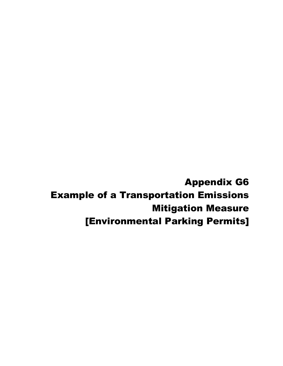Appendix G6 Example of a Transportation Emissions Mitigation Measure [Environmental Parking Permits]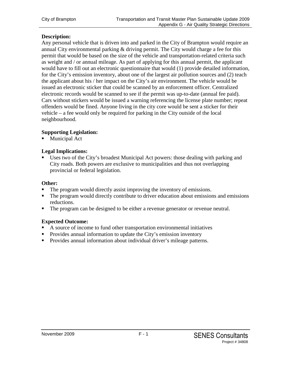#### **Description:**

Any personal vehicle that is driven into and parked in the City of Brampton would require an annual City environmental parking  $&$  driving permit. The City would charge a fee for this permit that would be based on the size of the vehicle and transportation-related criteria such as weight and / or annual mileage. As part of applying for this annual permit, the applicant would have to fill out an electronic questionnaire that would (1) provide detailed information, for the City's emission inventory, about one of the largest air pollution sources and (2) teach the applicant about his / her impact on the City's air environment. The vehicle would be issued an electronic sticker that could be scanned by an enforcement officer. Centralized electronic records would be scanned to see if the permit was up-to-date (annual fee paid). Cars without stickers would be issued a warning referencing the license plate number; repeat offenders would be fined. Anyone living in the city core would be sent a sticker for their vehicle – a fee would only be required for parking in the City outside of the local neighbourhood.

#### **Supporting Legislation:**

**Municipal Act** 

#### **Legal Implications:**

 Uses two of the City's broadest Municipal Act powers: those dealing with parking and City roads. Both powers are exclusive to municipalities and thus not overlapping provincial or federal legislation.

#### **Other:**

- The program would directly assist improving the inventory of emissions.
- The program would directly contribute to driver education about emissions and emissions reductions.
- The program can be designed to be either a revenue generator or revenue neutral.

#### **Expected Outcome:**

- A source of income to fund other transportation environmental initiatives
- **Provides annual information to update the City's emission inventory**
- **Provides annual information about individual driver's mileage patterns.**